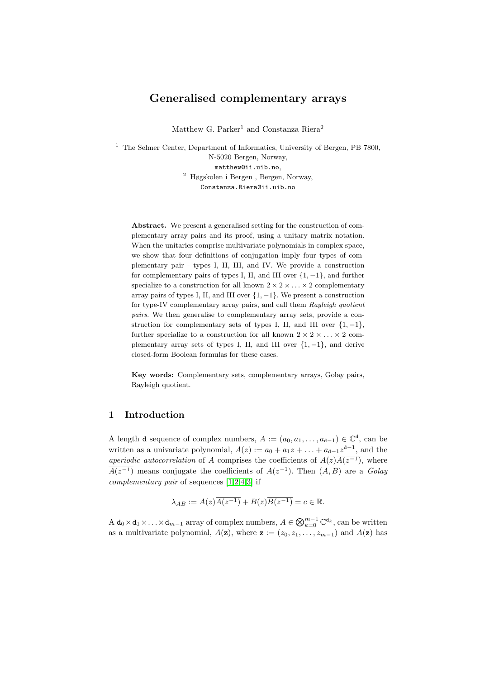# Generalised complementary arrays

Matthew G. Parker<sup>1</sup> and Constanza Riera<sup>2</sup>

 $1$  The Selmer Center, Department of Informatics, University of Bergen, PB 7800, N-5020 Bergen, Norway, matthew@ii.uib.no, <sup>2</sup> Høgskolen i Bergen , Bergen, Norway, Constanza.Riera@ii.uib.no

Abstract. We present a generalised setting for the construction of complementary array pairs and its proof, using a unitary matrix notation. When the unitaries comprise multivariate polynomials in complex space, we show that four definitions of conjugation imply four types of complementary pair - types I, II, III, and IV. We provide a construction for complementary pairs of types I, II, and III over  $\{1, -1\}$ , and further specialize to a construction for all known  $2 \times 2 \times \ldots \times 2$  complementary array pairs of types I, II, and III over  $\{1, -1\}$ . We present a construction for type-IV complementary array pairs, and call them Rayleigh quotient pairs. We then generalise to complementary array sets, provide a construction for complementary sets of types I, II, and III over  $\{1, -1\}$ , further specialize to a construction for all known  $2 \times 2 \times ... \times 2$  complementary array sets of types I, II, and III over  $\{1, -1\}$ , and derive closed-form Boolean formulas for these cases.

Key words: Complementary sets, complementary arrays, Golay pairs, Rayleigh quotient.

# 1 Introduction

A length d sequence of complex numbers,  $A := (a_0, a_1, \ldots, a_{d-1}) \in \mathbb{C}^d$ , can be written as a univariate polynomial,  $A(z) := a_0 + a_1 z + \ldots + a_{d-1} z^{d-1}$ , and the *aperiodic autocorrelation* of A comprises the coefficients of  $A(z)\overline{A(z^{-1})}$ , where  $\overline{A(z^{-1})}$  means conjugate the coefficients of  $A(z^{-1})$ . Then  $(A, B)$  are a Golay complementary pair of sequences [\[1,](#page-18-0)[2,](#page-18-1)[4,](#page-18-2)[3\]](#page-18-3) if

$$
\lambda_{AB} := A(z)\overline{A(z^{-1})} + B(z)\overline{B(z^{-1})} = c \in \mathbb{R}.
$$

A  $d_0 \times d_1 \times \ldots \times d_{m-1}$  array of complex numbers,  $A \in \bigotimes_{k=0}^{m-1} \mathbb{C}^{d_k}$ , can be written as a multivariate polynomial,  $A(\mathbf{z})$ , where  $\mathbf{z} := (z_0, z_1, \ldots, z_{m-1})$  and  $A(\mathbf{z})$  has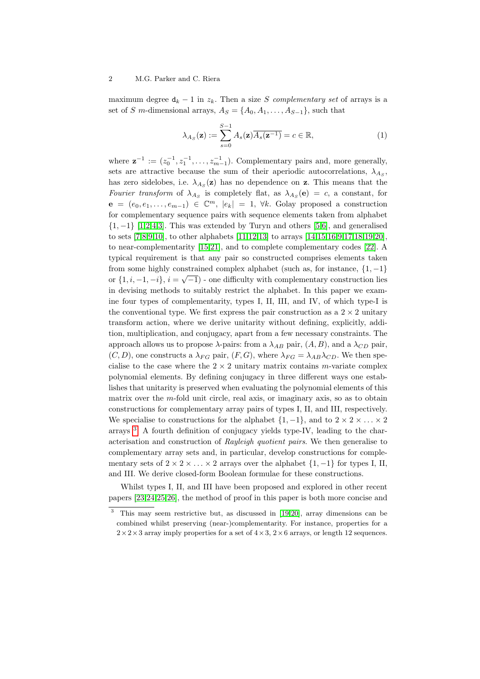maximum degree  $d_k - 1$  in  $z_k$ . Then a size S complementary set of arrays is a set of S m-dimensional arrays,  $A_S = \{A_0, A_1, \ldots, A_{S-1}\}\$ , such that

$$
\lambda_{A_S}(\mathbf{z}) := \sum_{s=0}^{S-1} A_s(\mathbf{z}) \overline{A_s(\mathbf{z}^{-1})} = c \in \mathbb{R},\tag{1}
$$

where  $\mathbf{z}^{-1} := (z_0^{-1}, z_1^{-1}, \dots, z_{m-1}^{-1})$ . Complementary pairs and, more generally, sets are attractive because the sum of their aperiodic autocorrelations,  $\lambda_{A_S}$ , has zero sidelobes, i.e.  $\lambda_{A_s}(\mathbf{z})$  has no dependence on **z**. This means that the Fourier transform of  $\lambda_{As}$  is completely flat, as  $\lambda_{As}(\mathbf{e}) = c$ , a constant, for  $e = (e_0, e_1, \ldots, e_{m-1}) \in \mathbb{C}^m$ ,  $|e_k| = 1$ ,  $\forall k$ . Golay proposed a construction for complementary sequence pairs with sequence elements taken from alphabet  $\{1, -1\}$  [\[1,](#page-18-0)[2,](#page-18-1)[4,](#page-18-2)[3\]](#page-18-3). This was extended by Turyn and others [\[5,](#page-18-4)[6\]](#page-18-5), and generalised to sets [\[7,](#page-18-6)[8](#page-18-7)[,9,](#page-18-8)[10\]](#page-18-9), to other alphabets [\[11](#page-18-10)[,12,](#page-18-11)[13\]](#page-18-12) to arrays [\[14,](#page-18-13)[15,](#page-19-0)[16](#page-19-1)[,9,](#page-18-8)[17,](#page-19-2)[18,](#page-19-3)[19,](#page-19-4)[20\]](#page-19-5), to near-complementarity [\[15](#page-19-0)[,21\]](#page-19-6), and to complete complementary codes [\[22\]](#page-19-7). A typical requirement is that any pair so constructed comprises elements taken from some highly constrained complex alphabet (such as, for instance,  $\{1, -1\}$ ) or  $\{1, i, -1, -i\}, i = \sqrt{-1}$  - one difficulty with complementary construction lies in devising methods to suitably restrict the alphabet. In this paper we examine four types of complementarity, types I, II, III, and IV, of which type-I is the conventional type. We first express the pair construction as a  $2 \times 2$  unitary transform action, where we derive unitarity without defining, explicitly, addition, multiplication, and conjugacy, apart from a few necessary constraints. The approach allows us to propose  $\lambda$ -pairs: from a  $\lambda_{AB}$  pair,  $(A, B)$ , and a  $\lambda_{CD}$  pair,  $(C, D)$ , one constructs a  $\lambda_{FG}$  pair,  $(F, G)$ , where  $\lambda_{FG} = \lambda_{AB} \lambda_{CD}$ . We then specialise to the case where the  $2 \times 2$  unitary matrix contains m-variate complex polynomial elements. By defining conjugacy in three different ways one establishes that unitarity is preserved when evaluating the polynomial elements of this matrix over the  $m$ -fold unit circle, real axis, or imaginary axis, so as to obtain constructions for complementary array pairs of types I, II, and III, respectively. We specialise to constructions for the alphabet  $\{1, -1\}$ , and to  $2 \times 2 \times \ldots \times 2$ arrays [3](#page-1-0) . A fourth definition of conjugacy yields type-IV, leading to the characterisation and construction of Rayleigh quotient pairs. We then generalise to complementary array sets and, in particular, develop constructions for complementary sets of  $2 \times 2 \times \ldots \times 2$  arrays over the alphabet  $\{1, -1\}$  for types I, II, and III. We derive closed-form Boolean formulae for these constructions.

Whilst types I, II, and III have been proposed and explored in other recent papers [\[23,](#page-19-8)[24,](#page-19-9)[25,](#page-19-10)[26\]](#page-19-11), the method of proof in this paper is both more concise and

<span id="page-1-0"></span><sup>3</sup> This may seem restrictive but, as discussed in [\[19,](#page-19-4)[20\]](#page-19-5), array dimensions can be combined whilst preserving (near-)complementarity. For instance, properties for a  $2\times2\times3$  array imply properties for a set of  $4\times3$ ,  $2\times6$  arrays, or length 12 sequences.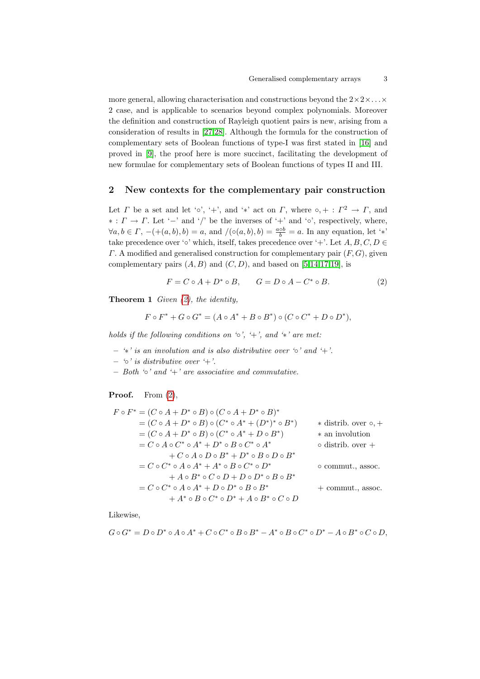more general, allowing characterisation and constructions beyond the  $2 \times 2 \times \ldots \times$ 2 case, and is applicable to scenarios beyond complex polynomials. Moreover the definition and construction of Rayleigh quotient pairs is new, arising from a consideration of results in [\[27](#page-19-12)[,28\]](#page-19-13). Although the formula for the construction of complementary sets of Boolean functions of type-I was first stated in [\[16\]](#page-19-1) and proved in [\[9\]](#page-18-8), the proof here is more succinct, facilitating the development of new formulae for complementary sets of Boolean functions of types II and III.

## 2 New contexts for the complementary pair construction

Let  $\Gamma$  be a set and let ' $\circ'$ , '+', and '\*' act on  $\Gamma$ , where  $\circ$ , + :  $\Gamma^2 \to \Gamma$ , and  $\ast : \Gamma \to \Gamma$ . Let '−' and '/' be the inverses of '+' and '∘', respectively, where,  $\forall a, b \in \Gamma, -(+ (a, b), b) = a$ , and  $/(\circ(a, b), b) = \frac{a \circ b}{b} = a$ . In any equation, let '\*' take precedence over '∘' which, itself, takes precedence over '+'. Let  $A, B, C, D \in$  $\Gamma$ . A modified and generalised construction for complementary pair  $(F, G)$ , given complementary pairs  $(A, B)$  and  $(C, D)$ , and based on [\[5,](#page-18-4)[14,](#page-18-13)[17](#page-19-2)[,19\]](#page-19-4), is

<span id="page-2-0"></span>
$$
F = C \circ A + D^* \circ B, \qquad G = D \circ A - C^* \circ B. \tag{2}
$$

∗

<span id="page-2-1"></span>**Theorem 1** Given  $(2)$ , the identity,

$$
F \circ F^* + G \circ G^* = (A \circ A^* + B \circ B^*) \circ (C \circ C^* + D \circ D^*),
$$

holds if the following conditions on  $\circ$ ,  $\circ$ ,  $\circ$ , and  $\circ$  are met:

- $-$  \* is an involution and is also distributive over ' $\circ$ ' and '+'.
- $-$  ' $\circ$ ' is distributive over '+'.
- $-$  Both ' $\circ$ ' and ' $+$ ' are associative and commutative.

#### **Proof.** From  $(2)$ ,

$$
F \circ F^* = (C \circ A + D^* \circ B) \circ (C \circ A + D^* \circ B)^*
$$
  
\n
$$
= (C \circ A + D^* \circ B) \circ (C^* \circ A^* + (D^*)^* \circ B^*)
$$
 \* distrib. over  $\circ$ , +  
\n
$$
= (C \circ A + D^* \circ B) \circ (C^* \circ A^* + D \circ B^*)
$$
 \* an involution  
\n
$$
= C \circ A \circ C^* \circ A^* + D^* \circ B \circ C^* \circ A^*
$$
 or distrib. over +  
\n
$$
+ C \circ A \circ D \circ B^* + D^* \circ B \circ D \circ B^*
$$
  
\n
$$
= C \circ C^* \circ A \circ A^* + A^* \circ B \circ C^* \circ D^*
$$
 or commut., assoc.  
\n
$$
+ A \circ B^* \circ C \circ D + D \circ D^* \circ B \circ B^*
$$
 + commut., assoc.  
\n
$$
+ A^* \circ B \circ C^* \circ D^* + A \circ B^* \circ C \circ D
$$

Likewise,

$$
G\circ G^*=D\circ D^*\circ A\circ A^*+C\circ C^*\circ B\circ B^*-A^*\circ B\circ C^*\circ D^*-A\circ B^*\circ C\circ D,
$$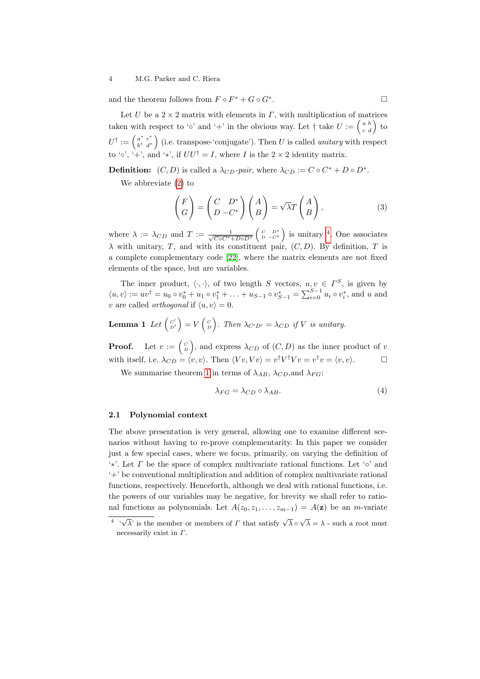and the theorem follows from  $F \circ F^* + G \circ G^*$ .

Let U be a  $2 \times 2$  matrix with elements in  $\Gamma$ , with multiplication of matrices taken with respect to '∘' and '+' in the obvious way. Let  $\dagger$  take  $U := \begin{pmatrix} a & b \\ c & d \end{pmatrix}$  to  $U^\dagger:=\left(\begin{smallmatrix} a^* & c^* \ b^* & d^* \end{smallmatrix}\right)$  $\begin{pmatrix} a^* & c^* \\ b^* & d^* \end{pmatrix}$  (i.e. transpose-'conjugate'). Then U is called *unitary* with respect to '∘', '+', and '\*', if  $UU^{\dagger} = I$ , where I is the 2 × 2 identity matrix.

**Definition:**  $(C, D)$  is called a  $\lambda_{CD}$ -pair, where  $\lambda_{CD} := C \circ C^* + D \circ D^*$ .

We abbreviate [\(2\)](#page-2-0) to

<span id="page-3-2"></span>
$$
\begin{pmatrix} F \\ G \end{pmatrix} = \begin{pmatrix} C & D^* \\ D & -C^* \end{pmatrix} \begin{pmatrix} A \\ B \end{pmatrix} = \sqrt{\lambda} T \begin{pmatrix} A \\ B \end{pmatrix},
$$
(3)

where  $\lambda := \lambda_{CD}$  and  $T := \frac{1}{\sqrt{C \circ C^* + D \circ D^*}} \begin{pmatrix} C & D^* \\ D & -C^* \end{pmatrix}$  is unitary <sup>[4](#page-3-0)</sup>. One associates  $\lambda$  with unitary, T, and with its constituent pair,  $(C, D)$ . By definition, T is a complete complementary code [\[22\]](#page-19-7), where the matrix elements are not fixed elements of the space, but are variables.

The inner product,  $\langle \cdot, \cdot \rangle$ , of two length S vectors,  $u, v \in \Gamma^S$ , is given by  $\langle u, v \rangle := uv^{\dagger} = u_0 \circ v_0^* + u_1 \circ v_1^* + \ldots + u_{S-1} \circ v_{S-1}^* = \sum_{i=0}^{S-1} u_i \circ v_i^*$ , and u and v are called *orthogonal* if  $\langle u, v \rangle = 0$ .

# <span id="page-3-3"></span>**Lemma 1** Let  $\begin{pmatrix} C' \\ D' \end{pmatrix} = V \begin{pmatrix} C \\ D \end{pmatrix}$ . Then  $\lambda_{C'D'} = \lambda_{CD}$  if V is unitary.

**Proof.** Let  $v := \begin{pmatrix} C \\ D \end{pmatrix}$ , and express  $\lambda_{CD}$  of  $(C, D)$  as the inner product of v with itself, i.e.  $\lambda_{CD} = \langle v, v \rangle$ . Then  $\langle Vv, Vv \rangle = v^{\dagger}V^{\dagger}Vv = v^{\dagger}v = \langle v, v \rangle$ .

We summarise theorem [1](#page-2-1) in terms of  $\lambda_{AB}$ ,  $\lambda_{CD}$ , and  $\lambda_{FG}$ :

<span id="page-3-1"></span>
$$
\lambda_{FG} = \lambda_{CD} \circ \lambda_{AB}.\tag{4}
$$

#### 2.1 Polynomial context

The above presentation is very general, allowing one to examine different scenarios without having to re-prove complementarity. In this paper we consider just a few special cases, where we focus, primarily, on varying the definition of '<sup>\*</sup>'. Let  $\Gamma$  be the space of complex multivariate rational functions. Let '∘' and '+' be conventional multiplication and addition of complex multivariate rational functions, respectively. Henceforth, although we deal with rational functions, i.e. the powers of our variables may be negative, for brevity we shall refer to rational functions as polynomials. Let  $A(z_0, z_1, \ldots, z_{m-1}) = A(\mathbf{z})$  be an *m*-variate

<span id="page-3-0"></span> $\overline{A^{\prime} \cdot \sqrt{\lambda}}$  is the member or members of  $\Gamma$  that satisfy  $\sqrt{\lambda} \circ \sqrt{\lambda} = \lambda$  - such a root must necessarily exist in  $\Gamma$ .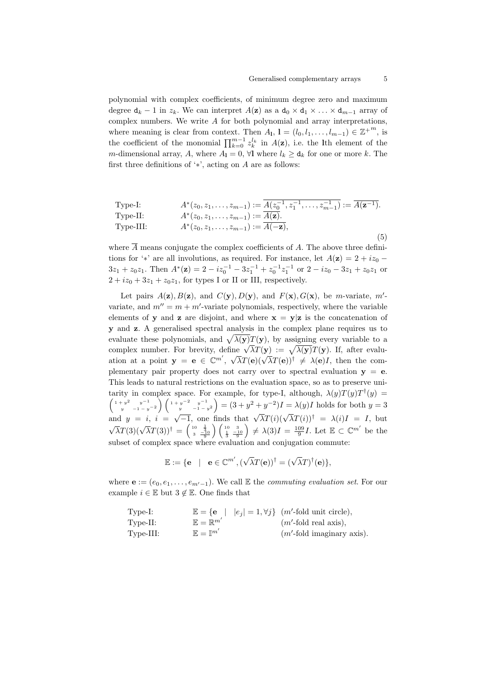polynomial with complex coefficients, of minimum degree zero and maximum degree  $d_k - 1$  in  $z_k$ . We can interpret  $A(z)$  as a  $d_0 \times d_1 \times \ldots \times d_{m-1}$  array of complex numbers. We write A for both polynomial and array interpretations, where meaning is clear from context. Then  $A_1$ ,  $\mathbf{l} = (l_0, l_1, \ldots, l_{m-1}) \in \mathbb{Z}^{+^m}$ , is the coefficient of the monomial  $\prod_{k=0}^{m-1} z_k^{l_k}$  in  $A(\mathbf{z})$ , i.e. the lth element of the m-dimensional array, A, where  $A_{\mathbf{l}} = 0$ ,  $\forall \mathbf{l}$  where  $l_k \geq \mathbf{d}_k$  for one or more k. The first three definitions of ' $*$ ', acting on A are as follows:

<span id="page-4-0"></span>Type-I: 
$$
A^*(z_0, z_1, \ldots, z_{m-1}) := \overline{A(z_0^{-1}, z_1^{-1}, \ldots, z_{m-1}^{-1})} := \overline{A(\mathbf{z}^{-1})}.
$$
Type-II: 
$$
A^*(z_0, z_1, \ldots, z_{m-1}) := \overline{A(\mathbf{z})}.
$$
Type-III: 
$$
A^*(z_0, z_1, \ldots, z_{m-1}) := \overline{A(-\mathbf{z})},
$$
 (5)

where  $\overline{A}$  means conjugate the complex coefficients of A. The above three definitions for '\*' are all involutions, as required. For instance, let  $A(\mathbf{z}) = 2 + iz_0$  $3z_1 + z_0z_1$ . Then  $A^*(\mathbf{z}) = 2 - iz_0^{-1} - 3z_1^{-1} + z_0^{-1}z_1^{-1}$  or  $2 - iz_0 - 3z_1 + z_0z_1$  or  $2 + iz_0 + 3z_1 + z_0z_1$ , for types I or II or III, respectively.

Let pairs  $A(z), B(z)$ , and  $C(y), D(y)$ , and  $F(x), G(x)$ , be m-variate, m'variate, and  $m'' = m + m'$ -variate polynomials, respectively, where the variable elements of y and z are disjoint, and where  $x = y|z$  is the concatenation of y and z. A generalised spectral analysis in the complex plane requires us to evaluate these polynomials, and  $\sqrt{\lambda(y)}T(y)$ , by assigning every variable to a evaluate these polynomials, and  $\sqrt{\lambda}(y)I(y)$ , by assigning every variable to a<br>complex number. For brevity, define  $\sqrt{\lambda}T(y) := \sqrt{\lambda(y)}T(y)$ . If, after evalucomplex number. For brevity, define  $\sqrt{\lambda}T(\mathbf{y}) - \sqrt{\lambda}(\mathbf{y})T(\mathbf{y})$ . It, after evaluation at a point  $\mathbf{y} = \mathbf{e} \in \mathbb{C}^{m'}$ ,  $\sqrt{\lambda}T(\mathbf{e})(\sqrt{\lambda}T(\mathbf{e}))^{\dagger} \neq \lambda(\mathbf{e})I$ , then the complementary pair property does not carry over to spectral evaluation  $y = e$ . This leads to natural restrictions on the evaluation space, so as to preserve unitarity in complex space. For example, for type-I, although,  $\lambda(y)T(y)T^{\dagger}(y) =$  $\left(\begin{array}{cc}1+y^2 & y^{-1} \\ y & -1-y^{-2}\end{array}\right)\left(\begin{array}{cc}1+y^{-2} & y^{-1} \\ y & -1-y^2\end{array}\right)= (3+y^2+y^{-2})I=\lambda(y)I$  holds for both  $y=3$ and  $y = i$ ,  $i = \sqrt{-1}$ , one finds that  $\sqrt{\lambda}T(i)(\sqrt{\lambda}T(i))^{\dagger} = \lambda(i)I = I$ , but  $\sqrt{\lambda}T(3)(\sqrt{\lambda}T(3))^{\dagger} = \begin{pmatrix} \frac{10}{3} & \frac{1}{-10} \\ 3 & \frac{-10}{9} \end{pmatrix}$  $\left(\begin{array}{cc}10 & 3\\ \frac{1}{3} & \frac{-10}{9}\end{array}\right)\neq \lambda(3)I = \frac{109}{9}I.$  Let  $\mathbb{E}\subset\mathbb{C}^{m'}$  be the subset of complex space where evaluation and conjugation commute:

$$
\mathbb{E} := \{ \mathbf{e} \mid \mathbf{e} \in \mathbb{C}^{m'}, (\sqrt{\lambda} T(\mathbf{e}))^{\dagger} = (\sqrt{\lambda} T)^{\dagger}(\mathbf{e}) \},
$$

where  $\mathbf{e} := (e_0, e_1, \ldots, e_{m'-1})$ . We call E the *commuting evaluation set*. For our example  $i \in \mathbb{E}$  but  $3 \notin \mathbb{E}$ . One finds that

| Type-I:  | $\mathbb{E} = \{e \mid e_j = 1, \forall j\}$ ( <i>m'</i> -fold unit circle), |                                    |
|----------|------------------------------------------------------------------------------|------------------------------------|
| Type-II: | $\mathbb{E} = \mathbb{R}^{m'}$                                               | ( <i>m'</i> -fold real axis),      |
| Type-II: | $\mathbb{E} = \mathbb{I}^{m'}$                                               | ( <i>m'</i> -fold imaginary axis). |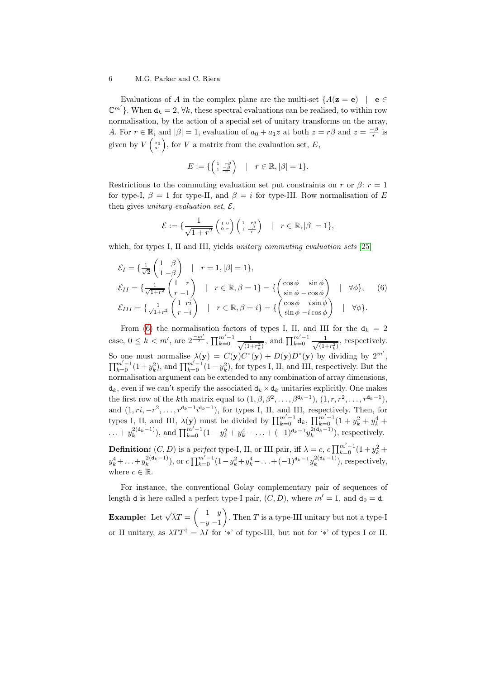Evaluations of A in the complex plane are the multi-set  $\{A(\mathbf{z} = \mathbf{e}) \mid \mathbf{e} \in \mathcal{E}\}$  $\mathbb{C}^{m'}$ . When  $d_k = 2$ ,  $\forall k$ , these spectral evaluations can be realised, to within row normalisation, by the action of a special set of unitary transforms on the array, A. For  $r \in \mathbb{R}$ , and  $|\beta| = 1$ , evaluation of  $a_0 + a_1 z$  at both  $z = r\beta$  and  $z = \frac{-\beta}{r}$  is given by  $V\begin{pmatrix} a_0 \\ a_1 \end{pmatrix}$ , for V a matrix from the evaluation set, E,

$$
E := \{ \begin{pmatrix} 1 & r\beta \\ 1 & \frac{-\beta}{r} \end{pmatrix} \quad | \quad r \in \mathbb{R}, |\beta| = 1 \}.
$$

Restrictions to the commuting evaluation set put constraints on r or  $\beta$ :  $r = 1$ for type-I,  $\beta = 1$  for type-II, and  $\beta = i$  for type-III. Row normalisation of E then gives unitary evaluation set,  $\mathcal{E},$ 

$$
\mathcal{E} := \{ \frac{1}{\sqrt{1+r^2}} \begin{pmatrix} 1 & 0 \\ 0 & r \end{pmatrix} \begin{pmatrix} 1 & r\beta \\ 1 & \frac{-\beta}{r} \end{pmatrix} \quad | \quad r \in \mathbb{R}, |\beta| = 1 \},
$$

which, for types I, II and III, yields *unitary commuting evaluation sets* [\[25\]](#page-19-10)

<span id="page-5-0"></span>
$$
\mathcal{E}_I = \left\{ \frac{1}{\sqrt{2}} \begin{pmatrix} 1 & \beta \\ 1 & -\beta \end{pmatrix} \middle| \ r = 1, |\beta| = 1 \right\},
$$
\n
$$
\mathcal{E}_{II} = \left\{ \frac{1}{\sqrt{1+r^2}} \begin{pmatrix} 1 & r \\ r & -1 \end{pmatrix} \middle| \ r \in \mathbb{R}, \beta = 1 \right\} = \left\{ \begin{pmatrix} \cos \phi & \sin \phi \\ \sin \phi - \cos \phi & \sin \phi \end{pmatrix} \middle| \ \forall \phi \right\}, \quad (6)
$$
\n
$$
\mathcal{E}_{III} = \left\{ \frac{1}{\sqrt{1+r^2}} \begin{pmatrix} 1 & r \\ r & -i \end{pmatrix} \middle| \ r \in \mathbb{R}, \beta = i \right\} = \left\{ \begin{pmatrix} \cos \phi & i \sin \phi \\ \sin \phi - i \cos \phi & \sin \phi \end{pmatrix} \middle| \ \forall \phi \right\}.
$$

From [\(6\)](#page-5-0) the normalisation factors of types I, II, and III for the  $d_k = 2$ case,  $0 \leq k < m'$ , are  $2^{\frac{-m'}{2}}$ ,  $\prod_{k=0}^{m'-1} \frac{1}{\sqrt{(1-k)}}$  $\frac{1}{(1+r_k^2)}$ , and  $\prod_{k=0}^{m'-1} \frac{1}{\sqrt{(1-r_k^2)}}$  $\frac{1}{(1+r_k^2)}$ , respectively. So one must normalise  $\lambda(\mathbf{y}) = C(\mathbf{y})C^*(\mathbf{y}) + D(\mathbf{y})D^*(\mathbf{y})$  by dividing by  $2^{m'}$ ,  $\prod_{k=0}^{m'-1}(1+y_k^2)$ , and  $\prod_{k=0}^{m'-1}(1-y_k^2)$ , for types I, II, and III, respectively. But the normalisation argument can be extended to any combination of array dimensions,  $d_k$ , even if we can't specify the associated  $d_k \times d_k$  unitaries explicitly. One makes the first row of the kth matrix equal to  $(1, \beta, \beta^2, \ldots, \beta^{d_k-1}), (1, r, r^2, \ldots, r^{d_k-1}),$ and  $(1, ri, -r^2, \ldots, r^{d_k-1}i^{d_k-1})$ , for types I, II, and III, respectively. Then, for types I, II, and III,  $\lambda(\mathbf{y})$  must be divided by  $\prod_{k=0}^{m'-1} d_k$ ,  $\prod_{k=0}^{m'-1} (1 + y_k^2 + y_k^4 + y_k^3)$  $\dots + y_k^{2(\mathbf{d}_k-1)}$ , and  $\prod_{k=0}^{m'-1} (1 - y_k^2 + y_k^4 - \dots + (-1)^{\mathbf{d}_k-1} y_k^{2(\mathbf{d}_k-1)}$ , respectively. **Definition:**  $(C, D)$  is a perfect type-I, II, or III pair, iff  $\lambda = c$ ,  $c \prod_{k=0}^{m'-1} (1 + y_k^2 +$  $y_k^4 + \ldots + y_k^{2(\mathbf{d}_k-1)}$ , or  $c \prod_{k=0}^{m'-1} (1 - y_k^2 + y_k^4 - \ldots + (-1)^{\mathbf{d}_k-1} y_k^{2(\mathbf{d}_k-1)}$ , respectively, where  $c \in \mathbb{R}$ .

For instance, the conventional Golay complementary pair of sequences of length d is here called a perfect type-I pair,  $(C, D)$ , where  $m' = 1$ , and  $d_0 = d$ .

**Example:** Let  $\sqrt{\lambda}T = \begin{pmatrix} 1 & y \\ 1 & y \end{pmatrix}$  $-y-1$ ). Then  $T$  is a type-III unitary but not a type-I or II unitary, as  $\lambda TT^{\dagger} = \lambda I$  for '\*' of type-III, but not for '\*' of types I or II.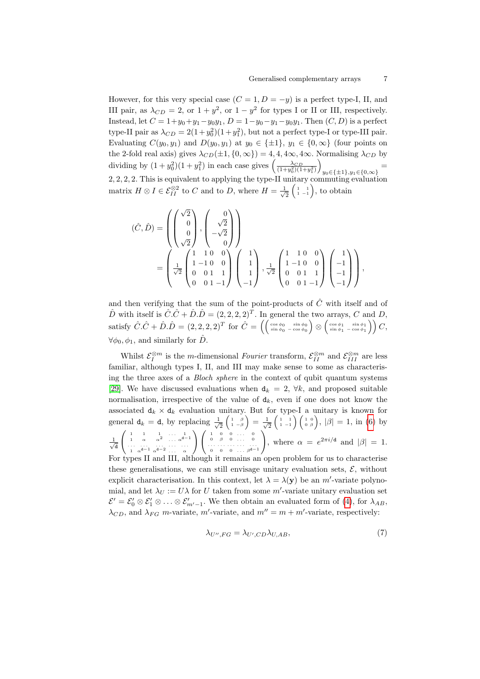However, for this very special case  $(C = 1, D = -y)$  is a perfect type-I, II, and III pair, as  $\lambda_{CD} = 2$ , or  $1 + y^2$ , or  $1 - y^2$  for types I or II or III, respectively. Instead, let  $C = 1 + y_0 + y_1 - y_0y_1$ ,  $D = 1 - y_0 - y_1 - y_0y_1$ . Then  $(C, D)$  is a perfect type-II pair as  $\lambda_{CD} = 2(1+y_0^2)(1+y_1^2)$ , but not a perfect type-I or type-III pair. Evaluating  $C(y_0, y_1)$  and  $D(y_0, y_1)$  at  $y_0 \in {\pm 1}$ ,  $y_1 \in \{0, \infty\}$  (four points on the 2-fold real axis) gives  $\lambda_{CD}(\pm 1, \{0, \infty\}) = 4, 4, 4\infty, 4\infty$ . Normalising  $\lambda_{CD}$  by dividing by  $(1+y_0^2)(1+y_1^2)$  in each case gives  $\left(\frac{\lambda_{CD}}{(1+y_0^2)(1+y_1^2)}\right)$  $=$ <br>y<sub>0</sub>∈{±1},y<sub>1</sub>∈{0,∞}</sub> 2, 2, 2, 2. This is equivalent to applying the type-II unitary commuting evaluation matrix  $H \otimes I \in \mathcal{E}_{II}^{\otimes 2}$  to C and to D, where  $H = \frac{1}{\sqrt{2}}$  $\overline{2}\left(\begin{smallmatrix}1 & 1\ 1 & -1\end{smallmatrix}\right)$ , to obtain

$$
\begin{aligned}\n(\hat{C}, \hat{D}) &= \left( \begin{pmatrix} \sqrt{2} \\ 0 \\ 0 \\ \sqrt{2} \end{pmatrix}, \begin{pmatrix} 0 \\ \sqrt{2} \\ -\sqrt{2} \\ 0 \end{pmatrix} \right) \\
&= \left( \frac{1}{\sqrt{2}} \begin{pmatrix} 1 & 1 & 0 & 0 \\ 1 & -1 & 0 & 0 \\ 0 & 0 & 1 & 1 \\ 0 & 0 & 1 & -1 \end{pmatrix} \begin{pmatrix} 1 \\ 1 \\ 1 \\ -1 \end{pmatrix}, \frac{1}{\sqrt{2}} \begin{pmatrix} 1 & 1 & 0 & 0 \\ 1 & -1 & 0 & 0 \\ 0 & 0 & 1 & 1 \\ 0 & 0 & 1 & -1 \end{pmatrix} \begin{pmatrix} 1 \\ -1 \\ -1 \\ -1 \end{pmatrix} \right),\n\end{aligned}
$$

and then verifying that the sum of the point-products of  $\hat{C}$  with itself and of  $\hat{D}$  with itself is  $\hat{C}\cdot\hat{C} + \hat{D}\cdot\hat{D} = (2, 2, 2, 2)^T$ . In general the two arrays, C and D,  ${\rm satisfy}\; \hat C.\hat C + \hat D.\hat D = (2,2,2,2)^T \; {\rm for}\; \hat C = \left(\left(\begin{smallmatrix}\cos\phi_0 & \sin\phi_0 \ \sin\phi_0 & -\cos\phi_0 \end{smallmatrix}\right) \otimes \left(\begin{smallmatrix}\cos\phi_1 & \sin\phi_1 \ \sin\phi_1 & -\cos\phi_1 \end{smallmatrix}\right)\right) C,$  $\forall \phi_0, \phi_1$ , and similarly for  $\hat{D}$ .

Whilst  $\mathcal{E}_I^{\otimes m}$  is the *m*-dimensional *Fourier* transform,  $\mathcal{E}_{II}^{\otimes m}$  and  $\mathcal{E}_{III}^{\otimes m}$  are less familiar, although types I, II, and III may make sense to some as characterising the three axes of a Bloch sphere in the context of qubit quantum systems [\[29\]](#page-19-14). We have discussed evaluations when  $d_k = 2$ ,  $\forall k$ , and proposed suitable normalisation, irrespective of the value of  $d_k$ , even if one does not know the associated  $d_k \times d_k$  evaluation unitary. But for type-I a unitary is known for general  $d_k = d$ , by replacing  $\frac{1}{\sqrt{k}}$  $\frac{1}{2}\left(\begin{smallmatrix} 1 & \beta \ 1 & -\beta \end{smallmatrix}\right) = \frac{1}{\sqrt{2}}$  $\frac{1}{2}\left(\begin{smallmatrix} 1 & 1 \ 1 & -1 \end{smallmatrix}\right)\left(\begin{smallmatrix} 1 & 0 \ 0 & \beta \end{smallmatrix}\right)\!,\,|\beta|=1,\text{ in (6) by}$  $\frac{1}{2}\left(\begin{smallmatrix} 1 & 1 \ 1 & -1 \end{smallmatrix}\right)\left(\begin{smallmatrix} 1 & 0 \ 0 & \beta \end{smallmatrix}\right)\!,\,|\beta|=1,\text{ in (6) by}$  $\frac{1}{2}\left(\begin{smallmatrix} 1 & 1 \ 1 & -1 \end{smallmatrix}\right)\left(\begin{smallmatrix} 1 & 0 \ 0 & \beta \end{smallmatrix}\right)\!,\,|\beta|=1,\text{ in (6) by}$  $\frac{1}{2}$ d  $\left(\begin{array}{cccccc} 1 & 1 & 1 & \ldots & 1 \\ 1 & \alpha & \alpha^2 & \ldots & \alpha^{d-1} \\ \ldots & \ldots & \ldots & \ldots & \ldots \\ 1 & \alpha^{d-1} & \alpha^{d-2} & \ldots & \alpha \end{array}\right) \left(\begin{array}{cccccc} 1 & 0 & 0 & \ldots & 0 \\ 0 & \beta & 0 & \ldots & 0 \\ \ldots & \ldots & \ldots & \ldots & \ldots \\ 0 & 0 & 0 & \ldots & \beta^{d-1} \end{array}\right)$ 0  $\beta$  0 ... 0<br>... ... ... ... ...<br>0 0 0 ...  $\beta^{d-1}$  $\setminus$ , where  $\alpha = e^{2\pi i/d}$  and  $|\beta| = 1$ . For types II and III, although it remains an open problem for us to characterise these generalisations, we can still envisage unitary evaluation sets,  $\mathcal{E}$ , without

explicit characterisation. In this context, let  $\lambda = \lambda(\mathbf{y})$  be an m'-variate polynomial, and let  $\lambda_U := U \lambda$  for U taken from some  $m'$ -variate unitary evaluation set  $\mathcal{E}'=\mathcal{E}'_0\otimes\mathcal{E}'_1\otimes\ldots\otimes\mathcal{E}'_{m'-1}$ . We then obtain an evaluated form of [\(4\)](#page-3-1), for  $\lambda_{AB}$ ,  $\lambda_{CD}$ , and  $\lambda_{FG}$  m-variate, m'-variate, and  $m'' = m + m'$ -variate, respectively:

<span id="page-6-0"></span>
$$
\lambda_{U'',FG} = \lambda_{U',CD}\lambda_{U,AB},\tag{7}
$$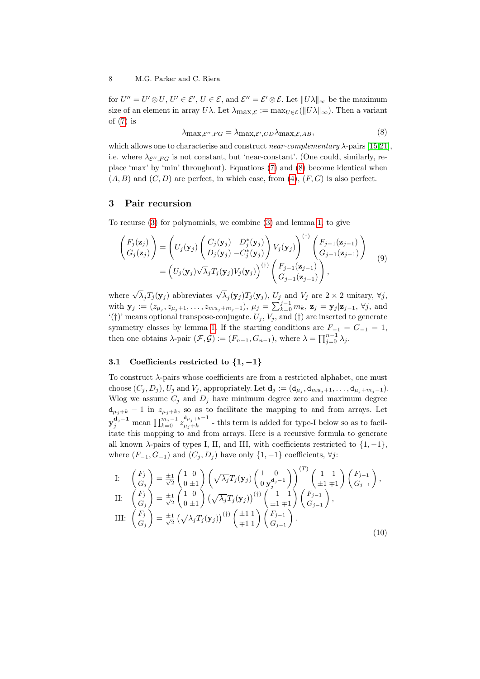for  $U'' = U' \otimes U$ ,  $U' \in \mathcal{E}'$ ,  $U \in \mathcal{E}$ , and  $\mathcal{E}'' = \mathcal{E}' \otimes \mathcal{E}$ . Let  $||U\lambda||_{\infty}$  be the maximum size of an element in array  $U\lambda$ . Let  $\lambda_{\max,\mathcal{E}} := \max_{U \in \mathcal{E}} (||U\lambda||_{\infty})$ . Then a variant of  $(7)$  is

<span id="page-7-0"></span>
$$
\lambda_{\max,\mathcal{E}',FG} = \lambda_{\max,\mathcal{E}',CD}\lambda_{\max,\mathcal{E},AB},\tag{8}
$$

which allows one to characterise and construct *near-complementary*  $\lambda$ -pairs [\[15](#page-19-0)[,21\]](#page-19-6), i.e. where  $\lambda_{\mathcal{E}'',FG}$  is not constant, but 'near-constant'. (One could, similarly, replace 'max' by 'min' throughout). Equations [\(7\)](#page-6-0) and [\(8\)](#page-7-0) become identical when  $(A, B)$  and  $(C, D)$  are perfect, in which case, from  $(4)$ ,  $(F, G)$  is also perfect.

#### 3 Pair recursion

To recurse [\(3\)](#page-3-2) for polynomials, we combine [\(3\)](#page-3-2) and lemma [1,](#page-3-3) to give

<span id="page-7-2"></span>
$$
\begin{aligned}\n\begin{pmatrix}\nF_j(\mathbf{z}_j) \\
G_j(\mathbf{z}_j)\n\end{pmatrix} &= \begin{pmatrix}\nU_j(\mathbf{y}_j) \begin{pmatrix}\nC_j(\mathbf{y}_j) & D_j^*(\mathbf{y}_j) \\
D_j(\mathbf{y}_j) & -C_j^*(\mathbf{y}_j)\n\end{pmatrix} V_j(\mathbf{y}_j)\n\end{pmatrix}^{(t)} \begin{pmatrix}\nF_{j-1}(\mathbf{z}_{j-1}) \\
G_{j-1}(\mathbf{z}_{j-1})\n\end{pmatrix} \\
&= \begin{pmatrix}\nU_j(\mathbf{y}_j) \sqrt{\lambda}_j T_j(\mathbf{y}_j) V_j(\mathbf{y}_j)\n\end{pmatrix}^{(t)} \begin{pmatrix}\nF_{j-1}(\mathbf{z}_{j-1}) \\
G_{j-1}(\mathbf{z}_{j-1})\n\end{pmatrix},\n\end{aligned} (9)
$$

where  $\sqrt{\lambda}_j T_j(\mathbf{y}_j)$  abbreviates  $\sqrt{\lambda}_j(\mathbf{y}_j)T_j(\mathbf{y}_j)$ ,  $U_j$  and  $V_j$  are  $2 \times 2$  unitary,  $\forall j$ , with  $y_j := (z_{\mu_j}, z_{\mu_j+1}, \ldots, z_{mu_j+m_j-1}), \mu_j = \sum_{k=0}^{j-1} m_k, z_j = y_j | z_{j-1}, \forall j$ , and  $'(\dagger)$ ' means optional transpose-conjugate.  $U_j, V_j$ , and  $(\dagger)$  are inserted to generate symmetry classes by lemma [1.](#page-3-3) If the starting conditions are  $F_{-1} = G_{-1} = 1$ , then one obtains  $\lambda$ -pair  $(\mathcal{F}, \mathcal{G}) := (F_{n-1}, G_{n-1})$ , where  $\lambda = \prod_{j=0}^{n-1} \lambda_j$ .

#### 3.1 Coefficients restricted to  $\{1, -1\}$

To construct λ-pairs whose coefficients are from a restricted alphabet, one must choose  $(C_j, D_j)$ ,  $U_j$  and  $V_j$ , appropriately. Let  $\mathbf{d}_j := (\mathbf{d}_{\mu_j}, \mathbf{d}_{mu_j+1}, \dots, \mathbf{d}_{\mu_j+m_j-1})$ . Wlog we assume  $C_j$  and  $D_j$  have minimum degree zero and maximum degree  $d_{\mu_j+k}$  – 1 in  $z_{\mu_j+k}$ , so as to facilitate the mapping to and from arrays. Let  $y_j^{\mathbf{d}_j-1}$  mean  $\prod_{k=0}^{m_j-1} z_{\mu_j+k}^{\mathbf{d}_{\mu_j+k}-1}$  $\mu_{j+k}^{\mu_{j+k}}$  - this term is added for type-I below so as to facilitate this mapping to and from arrays. Here is a recursive formula to generate all known  $\lambda$ -pairs of types I, II, and III, with coefficients restricted to  $\{1, -1\}$ , where  $(F_{-1}, G_{-1})$  and  $(C_i, D_i)$  have only  $\{1, -1\}$  coefficients,  $\forall j$ :

<span id="page-7-1"></span>I: 
$$
\begin{pmatrix} F_j \\ G_j \end{pmatrix} = \frac{\pm 1}{\sqrt{2}} \begin{pmatrix} 1 & 0 \\ 0 & \pm 1 \end{pmatrix} \left( \sqrt{\lambda_j} T_j(\mathbf{y}_j) \begin{pmatrix} 1 & 0 \\ 0 & \mathbf{y}_j^{d_j - 1} \end{pmatrix} \right)^{(T)} \begin{pmatrix} 1 & 1 \\ \pm 1 & \mp 1 \end{pmatrix} \begin{pmatrix} F_{j-1} \\ G_{j-1} \end{pmatrix},
$$
II: 
$$
\begin{pmatrix} F_j \\ G_j \end{pmatrix} = \frac{\pm 1}{\sqrt{2}} \begin{pmatrix} 1 & 0 \\ 0 & \pm 1 \end{pmatrix} \left( \sqrt{\lambda_j} T_j(\mathbf{y}_j) \right)^{(\dagger)} \begin{pmatrix} 1 & 1 \\ \pm 1 & \mp 1 \end{pmatrix} \begin{pmatrix} F_{j-1} \\ G_{j-1} \end{pmatrix},
$$
III: 
$$
\begin{pmatrix} F_j \\ G_j \end{pmatrix} = \frac{\pm 1}{\sqrt{2}} \left( \sqrt{\lambda_j} T_j(\mathbf{y}_j) \right)^{(\dagger)} \begin{pmatrix} \pm 1 & 1 \\ \mp 1 & 1 \end{pmatrix} \begin{pmatrix} F_{j-1} \\ G_{j-1} \end{pmatrix}.
$$
 (10)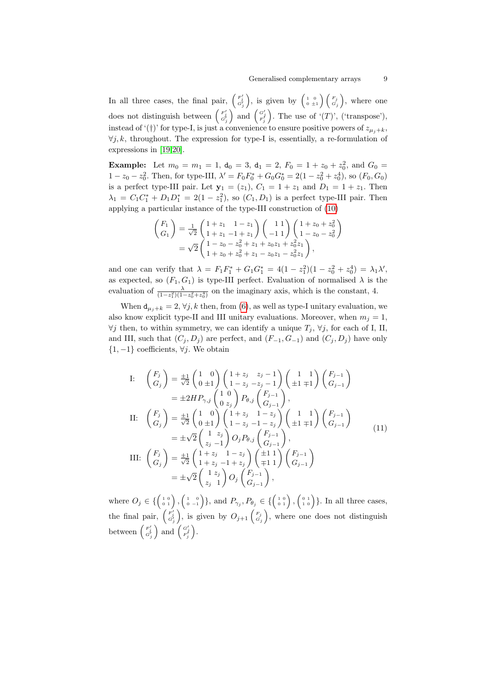In all three cases, the final pair,  $\begin{pmatrix} F'_j \ G'_j \end{pmatrix}$ , is given by  $\begin{pmatrix} 1 & 0 \\ 0 & \pm 1 \end{pmatrix} \begin{pmatrix} F_j \\ G_j \end{pmatrix}$ , where one does not distinguish between  $\begin{pmatrix} F'_j \ G'_j \end{pmatrix}$  and  $\begin{pmatrix} G'_j \ F'_j \end{pmatrix}$ . The use of '(T)', ('transpose'), instead of '(†)' for type-I, is just a convenience to ensure positive powers of  $z_{\mu_i+k}$ ,  $\forall j, k$ , throughout. The expression for type-I is, essentially, a re-formulation of expressions in [\[19,](#page-19-4)[20\]](#page-19-5).

**Example:** Let  $m_0 = m_1 = 1$ ,  $d_0 = 3$ ,  $d_1 = 2$ ,  $F_0 = 1 + z_0 + z_0^2$ , and  $G_0 =$  $1 - z_0 - z_0^2$ . Then, for type-III,  $\lambda' = F_0 F_0^* + G_0 G_0^* = 2(1 - z_0^2 + z_0^4)$ , so  $(F_0, G_0)$ is a perfect type-III pair. Let  $y_1 = (z_1)$ ,  $C_1 = 1 + z_1$  and  $D_1 = 1 + z_1$ . Then  $\lambda_1 = C_1 C_1^* + D_1 D_1^* = 2(1 - z_1^2)$ , so  $(C_1, D_1)$  is a perfect type-III pair. Then applying a particular instance of the type-III construction of [\(10\)](#page-7-1)

$$
\begin{pmatrix}\nF_1 \\
G_1\n\end{pmatrix} = \frac{1}{\sqrt{2}} \begin{pmatrix}\n1+z_1 & 1-z_1 \\
1+z_1 & -1+z_1\n\end{pmatrix} \begin{pmatrix}\n1 & 1 \\
-1 & 1\n\end{pmatrix} \begin{pmatrix}\n1+z_0 + z_0^2 \\
1-z_0 - z_0^2\n\end{pmatrix}
$$
\n
$$
= \sqrt{2} \begin{pmatrix}\n1-z_0 - z_0^2 + z_1 + z_0 z_1 + z_0^2 z_1 \\
1+z_0 + z_0^2 + z_1 - z_0 z_1 - z_0^2 z_1\n\end{pmatrix},
$$

and one can verify that  $\lambda = F_1 F_1^* + G_1 G_1^* = 4(1 - z_1^2)(1 - z_0^2 + z_0^4) = \lambda_1 \lambda'$ , as expected, so  $(F_1, G_1)$  is type-III perfect. Evaluation of normalised  $\lambda$  is the evaluation of  $\frac{\lambda}{(1-z_1^2)(1-z_0^2+z_0^4)}$  on the imaginary axis, which is the constant, 4.

When  $d_{\mu_i+k} = 2$ ,  $\forall j, k$  then, from [\(6\)](#page-5-0), as well as type-I unitary evaluation, we also know explicit type-II and III unitary evaluations. Moreover, when  $m_j = 1$ ,  $\forall j$  then, to within symmetry, we can identify a unique  $T_j$ ,  $\forall j$ , for each of I, II, and III, such that  $(C_j, D_j)$  are perfect, and  $(F_{-1}, G_{-1})$  and  $(C_j, D_j)$  have only  ${1, -1}$  coefficients,  $\forall i$ . We obtain

<span id="page-8-0"></span>I: 
$$
\begin{aligned}\n\begin{aligned}\n\left(\begin{array}{c} F_j \\ G_j \end{array}\right) &= \frac{\pm 1}{\sqrt{2}} \begin{pmatrix} 1 & 0 \\ 0 & \pm 1 \end{pmatrix} \begin{pmatrix} 1 + z_j & z_j - 1 \\ 1 - z_j - z_j - 1 \end{pmatrix} \begin{pmatrix} 1 & 1 \\ \pm 1 & \mp 1 \end{pmatrix} \begin{pmatrix} F_{j-1} \\ G_{j-1} \end{pmatrix} \\
&= \pm 2H P_{\gamma,j} \begin{pmatrix} 1 & 0 \\ 0 & z_j \end{pmatrix} P_{\theta,j} \begin{pmatrix} F_{j-1} \\ G_{j-1} \end{pmatrix}, \\
\text{II: } \begin{pmatrix} F_j \\ G_j \end{pmatrix} &= \frac{\pm 1}{\sqrt{2}} \begin{pmatrix} 1 & 0 \\ 0 & \pm 1 \end{pmatrix} \begin{pmatrix} 1 + z_j & 1 - z_j \\ 1 - z_j & -1 - z_j \end{pmatrix} \begin{pmatrix} 1 & 1 \\ \pm 1 & \mp 1 \end{pmatrix} \begin{pmatrix} F_{j-1} \\ G_{j-1} \end{pmatrix} \\
&= \pm \sqrt{2} \begin{pmatrix} 1 & z_j \\ z_j & -1 \end{pmatrix} O_j P_{\theta,j} \begin{pmatrix} F_{j-1} \\ G_{j-1} \end{pmatrix}, \\
\text{III: } \begin{pmatrix} F_j \\ G_j \end{pmatrix} &= \frac{\pm 1}{\sqrt{2}} \begin{pmatrix} 1 + z_j & 1 - z_j \\ 1 + z_j - 1 + z_j \end{pmatrix} \begin{pmatrix} \pm 1 & 1 \\ \mp 1 & 1 \end{pmatrix} \begin{pmatrix} F_{j-1} \\ G_{j-1} \end{pmatrix} \\
&= \pm \sqrt{2} \begin{pmatrix} 1 & z_j \\ z_j & 1 \end{pmatrix} O_j \begin{pmatrix} F_{j-1} \\ G_{j-1} \end{pmatrix},\n\end{aligned}
$$

where  $O_j \in \{ \begin{pmatrix} 1 & 0 \\ 0 & 1 \end{pmatrix}, \begin{pmatrix} 1 & 0 \\ 0 & -1 \end{pmatrix} \}$ , and  $P_{\gamma_j}, P_{\theta_j} \in \{ \begin{pmatrix} 1 & 0 \\ 0 & 1 \end{pmatrix}, \begin{pmatrix} 0 & 1 \\ 1 & 0 \end{pmatrix} \}$ . In all three cases, the final pair,  $\begin{pmatrix} F'_j \ G'_j \end{pmatrix}$ , is given by  $O_{j+1} \begin{pmatrix} F_j \ G_j \end{pmatrix}$ , where one does not distinguish between  $\begin{pmatrix} F'_j \\ G'_j \end{pmatrix}$  and  $\begin{pmatrix} G'_j \\ F'_j \end{pmatrix}$ .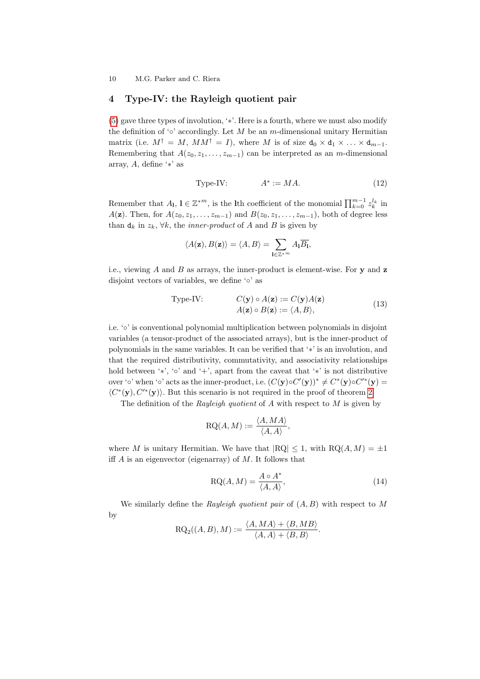## <span id="page-9-0"></span>4 Type-IV: the Rayleigh quotient pair

[\(5\)](#page-4-0) gave three types of involution, '∗'. Here is a fourth, where we must also modify the definition of '∘' accordingly. Let M be an m-dimensional unitary Hermitian matrix (i.e.  $M^{\dagger} = M$ ,  $MM^{\dagger} = I$ ), where M is of size  $d_0 \times d_1 \times ... \times d_{m-1}$ . Remembering that  $A(z_0, z_1, \ldots, z_{m-1})$  can be interpreted as an m-dimensional array, A, define '∗' as

Type-IV: 
$$
A^* := MA.
$$
 (12)

Remember that  $A_l$ ,  $l \in \mathbb{Z}^{*m}$ , is the lth coefficient of the monomial  $\prod_{k=0}^{m-1} z_k^{l_k}$  in A(z). Then, for  $A(z_0, z_1, \ldots, z_{m-1})$  and  $B(z_0, z_1, \ldots, z_{m-1})$ , both of degree less than  $d_k$  in  $z_k$ ,  $\forall k$ , the *inner-product* of A and B is given by

$$
\langle A(\mathbf{z}), B(\mathbf{z}) \rangle = \langle A, B \rangle = \sum_{\mathbf{l} \in \mathbb{Z}^{\ast^m}} A_{\mathbf{l}} \overline{B_{\mathbf{l}}},
$$

i.e., viewing  $A$  and  $B$  as arrays, the inner-product is element-wise. For  $y$  and  $z$ disjoint vectors of variables, we define '◦' as

Type-IV: 
$$
C(\mathbf{y}) \circ A(\mathbf{z}) := C(\mathbf{y})A(\mathbf{z})
$$
  
  $A(\mathbf{z}) \circ B(\mathbf{z}) := \langle A, B \rangle,$  (13)

i.e. '◦' is conventional polynomial multiplication between polynomials in disjoint variables (a tensor-product of the associated arrays), but is the inner-product of polynomials in the same variables. It can be verified that '∗' is an involution, and that the required distributivity, commutativity, and associativity relationships hold between '\*', '∘' and '+', apart from the caveat that '\*' is not distributive over '∘' when '∘' acts as the inner-product, i.e.  $(C(y) \circ C'(y))^* \neq C^*(y) \circ C'^*(y)$  $\langle C^*(y), C'^*(y) \rangle$ . But this scenario is not required in the proof of theorem [2.](#page-2-0)

The definition of the Rayleigh quotient of  $A$  with respect to  $M$  is given by

$$
RQ(A, M) := \frac{\langle A, MA \rangle}{\langle A, A \rangle}
$$

where M is unitary Hermitian. We have that  $|RQ| \leq 1$ , with  $RQ(A, M) = \pm 1$ iff  $A$  is an eigenvector (eigenarray) of  $M$ . It follows that

$$
RQ(A, M) = \frac{A \circ A^*}{\langle A, A \rangle},\tag{14}
$$

,

We similarly define the Rayleigh quotient pair of  $(A, B)$  with respect to M by

$$
RQ_2((A, B), M) := \frac{\langle A, MA \rangle + \langle B, MB \rangle}{\langle A, A \rangle + \langle B, B \rangle}.
$$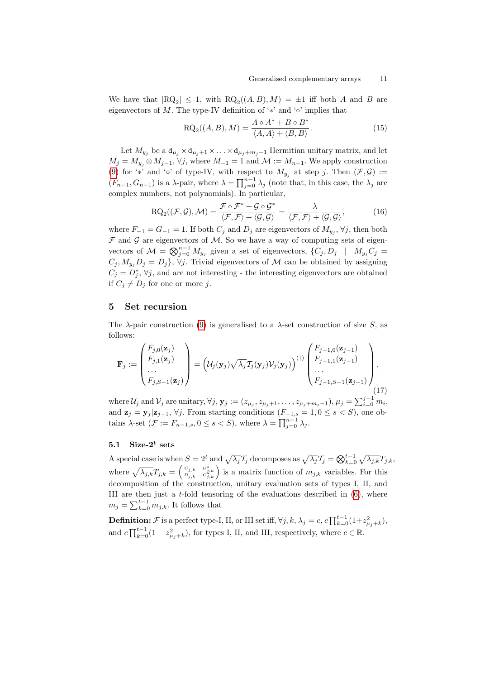We have that  $|RQ_2| \leq 1$ , with  $RQ_2((A, B), M) = \pm 1$  iff both A and B are eigenvectors of M. The type-IV definition of ' $*$ ' and '∘' implies that

$$
RQ_2((A, B), M) = \frac{A \circ A^* + B \circ B^*}{\langle A, A \rangle + \langle B, B \rangle}.
$$
\n(15)

Let  $M_{y_i}$  be a  $d_{\mu_i} \times d_{\mu_i+1} \times \ldots \times d_{\mu_i+m_i-1}$  Hermitian unitary matrix, and let  $M_j = M_{y_i} \otimes M_{j-1}, \forall j$ , where  $M_{-1} = 1$  and  $\mathcal{M} := M_{n-1}$ . We apply construction [\(9\)](#page-7-2) for '\*' and '∘' of type-IV, with respect to  $M_{y_j}$  at step j. Then  $(\mathcal{F}, \mathcal{G}) :=$  $(F_{n-1}, G_{n-1})$  is a  $\lambda$ -pair, where  $\lambda = \prod_{j=0}^{n-1} \lambda_j$  (note that, in this case, the  $\lambda_j$  are complex numbers, not polynomials). In particular,

$$
\mathrm{RQ}_2((\mathcal{F}, \mathcal{G}), \mathcal{M}) = \frac{\mathcal{F} \circ \mathcal{F}^* + \mathcal{G} \circ \mathcal{G}^*}{\langle \mathcal{F}, \mathcal{F} \rangle + \langle \mathcal{G}, \mathcal{G} \rangle} = \frac{\lambda}{\langle \mathcal{F}, \mathcal{F} \rangle + \langle \mathcal{G}, \mathcal{G} \rangle},\tag{16}
$$

where  $F_{-1} = G_{-1} = 1$ . If both  $C_j$  and  $D_j$  are eigenvectors of  $M_{y_j}$ ,  $\forall j$ , then both  $\mathcal F$  and  $\mathcal G$  are eigenvectors of  $\mathcal M$ . So we have a way of computing sets of eigenvectors of  $\mathcal{M} = \bigotimes_{j=0}^{n-1} M_{y_j}$  given a set of eigenvectors,  $\{C_j, D_j \mid M_{y_j}C_j =$  $C_j, M_{y_i}D_j = D_j$ ,  $\forall j$ . Trivial eigenvectors of M can be obtained by assigning  $C_j = D_j^*$ ,  $\forall j$ , and are not interesting - the interesting eigenvectors are obtained if  $C_j \neq D_j$  for one or more j.

#### 5 Set recursion

The  $\lambda$ -pair construction [\(9\)](#page-7-2) is generalised to a  $\lambda$ -set construction of size S, as follows:

<span id="page-10-0"></span>
$$
\mathbf{F}_j := \begin{pmatrix} F_{j,0}(\mathbf{z}_j) \\ F_{j,1}(\mathbf{z}_j) \\ \vdots \\ F_{j,S-1}(\mathbf{z}_j) \end{pmatrix} = \left( \mathcal{U}_j(\mathbf{y}_j) \sqrt{\lambda_j} \mathcal{T}_j(\mathbf{y}_j) \mathcal{V}_j(\mathbf{y}_j) \right)^{(\dagger)} \begin{pmatrix} F_{j-1,0}(\mathbf{z}_{j-1}) \\ F_{j-1,1}(\mathbf{z}_{j-1}) \\ \vdots \\ F_{j-1,S-1}(\mathbf{z}_{j-1}) \end{pmatrix}, \tag{17}
$$

where  $\mathcal{U}_j$  and  $\mathcal{V}_j$  are unitary,  $\forall j$ ,  $\mathbf{y}_j := (z_{\mu_j}, z_{\mu_j+1}, \ldots, z_{\mu_j+m_j-1}), \mu_j = \sum_{i=0}^{j-1} m_i$ , and  $\mathbf{z}_j = \mathbf{y}_j | \mathbf{z}_{j-1}, \forall j$ . From starting conditions  $(F_{-1,s} = 1, 0 \le s < S)$ , one obtains  $\lambda$ -set  $(\mathcal{F} := F_{n-1,s}, 0 \leq s < S)$ , where  $\lambda = \prod_{j=0}^{n-1} \lambda_j$ .

## <span id="page-10-1"></span> $5.1$  Size- $2^t$  sets

A special case is when  $S = 2^t$  and  $\sqrt{\lambda_j} \mathcal{T}_j$  decomposes as  $\sqrt{\lambda_j} \mathcal{T}_j = \bigotimes_{k=0}^{t-1} \sqrt{\lambda_{j,k}} T_{j,k}$ , where  $\sqrt{\lambda_{j,k}}T_{j,k} = \begin{pmatrix} C_{j,k} & D_{j,k}^* \ D_{j,k} & -C_{j,k}^* \end{pmatrix}$  is a matrix function of  $m_{j,k}$  variables. For this decomposition of the construction, unitary evaluation sets of types I, II, and III are then just a  $t$ -fold tensoring of the evaluations described in  $(6)$ , where  $m_j = \sum_{k=0}^{t-1} m_{j,k}$ . It follows that

**Definition:**  $\mathcal F$  is a perfect type-I, II, or III set iff,  $\forall j, k, \lambda_j = c, c \prod_{k=0}^{t-1} (1 + z_{\mu_j + k}^2)$ , and  $c \prod_{k=0}^{t-1} (1 - z_{\mu_j+k}^2)$ , for types I, II, and III, respectively, where  $c \in \mathbb{R}$ .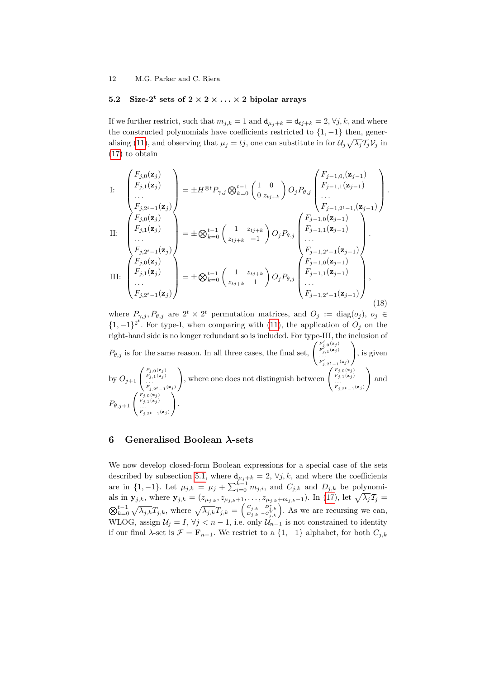## 5.2 Size- $2^t$  sets of  $2 \times 2 \times \ldots \times 2$  bipolar arrays

If we further restrict, such that  $m_{j,k} = 1$  and  $d_{\mu_j+k} = d_{tj+k} = 2, \forall j, k$ , and where the constructed polynomials have coefficients restricted to  $\{1, -1\}$  then, gener-alising [\(11\)](#page-8-0), and observing that  $\mu_j = t_j$ , one can substitute in for  $\mathcal{U}_j \sqrt{\lambda_j} \mathcal{I}_j \mathcal{V}_j$  in [\(17\)](#page-10-0) to obtain

I: 
$$
\begin{pmatrix} F_{j,0}(\mathbf{z}_{j}) \\ F_{j,1}(\mathbf{z}_{j}) \\ \vdots \\ F_{j,2^{t}-1}(\mathbf{z}_{j}) \end{pmatrix} = \pm H^{\otimes t} P_{\gamma,j} \otimes \sum_{k=0}^{t-1} \begin{pmatrix} 1 & 0 \\ 0 & z_{tj+k} \end{pmatrix} O_{j} P_{\theta,j} \begin{pmatrix} F_{j-1,0,}(\mathbf{z}_{j-1}) \\ F_{j-1,1}(\mathbf{z}_{j-1}) \\ \vdots \\ F_{j-1,2^{t}-1}(\mathbf{z}_{j-1}) \end{pmatrix}.
$$
II: 
$$
\begin{pmatrix} F_{j,0}(\mathbf{z}_{j}) \\ F_{j,1}(\mathbf{z}_{j}) \\ \vdots \\ F_{j,2^{t}-1}(\mathbf{z}_{j}) \end{pmatrix} = \pm \bigotimes_{k=0}^{t-1} \begin{pmatrix} 1 & z_{tj+k} \\ z_{tj+k} & -1 \end{pmatrix} O_{j} P_{\theta,j} \begin{pmatrix} F_{j-1,0}(\mathbf{z}_{j-1}) \\ F_{j-1,1}(\mathbf{z}_{j-1}) \\ \vdots \\ F_{j-1,2^{t}-1}(\mathbf{z}_{j-1}) \end{pmatrix}.
$$
III: 
$$
\begin{pmatrix} F_{j,0}(\mathbf{z}_{j}) \\ F_{j,0}(\mathbf{z}_{j}) \\ \vdots \\ F_{j,1}(\mathbf{z}_{j}) \\ \vdots \\ F_{j,2^{t}-1}(\mathbf{z}_{j}) \end{pmatrix} = \pm \bigotimes_{k=0}^{t-1} \begin{pmatrix} 1 & z_{tj+k} \\ z_{tj+k} & 1 \end{pmatrix} O_{j} P_{\theta,j} \begin{pmatrix} F_{j-1,0}(\mathbf{z}_{j-1}) \\ F_{j-1,1}(\mathbf{z}_{j-1}) \\ \vdots \\ F_{j-1,2^{t}-1}(\mathbf{z}_{j-1}) \end{pmatrix},
$$
 (18)

where  $P_{\gamma,j}, P_{\theta,j}$  are  $2^t \times 2^t$  permutation matrices, and  $O_j := \text{diag}(o_j)$ ,  $o_j \in$  ${1, -1}^2$ . For type-I, when comparing with [\(11\)](#page-8-0), the application of  $O_j$  on the right-hand side is no longer redundant so is included. For type-III, the inclusion of  $P_{\theta,j}$  is for the same reason. In all three cases, the final set,  $\begin{pmatrix} F'_{j,0}(z_j) \\ F'_{j,1}(z_j) \\ \vdots \\ F'_{j,2^t-1}(z_j) \end{pmatrix}$  $\setminus$ , is given by  $O_{j+1}$   $\begin{pmatrix} F_{j,0}(\mathbf{z}_j) \\ F_{j,1}(\mathbf{z}_j) \\ \dots \\ F_{j,2^t-1}(\mathbf{z}_j) \end{pmatrix}$ ), where one does not distinguish between  $\begin{pmatrix} F_{j,0}(z_j) \\ F_{j,1}(z_j) \\ \vdots \\ F_{j,2^t-1}(z_j) \end{pmatrix}$  $\setminus$ and  $P_{\theta,j+1}$   $\begin{pmatrix} F_{j,0}(\mathbf{z}_j) \\ F_{j,1}(\mathbf{z}_j) \\ \vdots \\ F_{j,2^t-1}(\mathbf{z}_j) \end{pmatrix}$  $\setminus$ .

# 6 Generalised Boolean λ-sets

We now develop closed-form Boolean expressions for a special case of the sets described by subsection [5.1,](#page-10-1) where  $d_{\mu_j+k} = 2$ ,  $\forall j, k$ , and where the coefficients are in  $\{1, -1\}$ . Let  $\mu_{j,k} = \mu_j + \sum_{i=0}^{k-1} m_{j,i}$ , and  $C_{j,k}$  and  $D_{j,k}$  be polynomials in  $\mathbf{y}_{j,k}$ , where  $\mathbf{y}_{j,k} = (z_{\mu_{j,k}}, z_{\mu_{j,k}+1}, \ldots, z_{\mu_{j,k}+m_{j,k}-1})$ . In [\(17\)](#page-10-0), let  $\sqrt{\lambda_j} \mathcal{I}_j =$  $\bigotimes_{k=0}^{t-1} \sqrt{\lambda_{j,k}}T_{j,k}$ , where  $\sqrt{\lambda_{j,k}}T_{j,k} = \begin{pmatrix} c_{j,k} & D_{j,k}^* \ D_{j,k} & -C_{j,k}^* \end{pmatrix}$ . As we are recursing we can, WLOG, assign  $\mathcal{U}_j = I$ ,  $\forall j < n-1$ , i.e. only  $\mathcal{U}_{n-1}^{(k)}$  is not constrained to identity if our final  $\lambda$ -set is  $\mathcal{F} = \mathbf{F}_{n-1}$ . We restrict to a  $\{1, -1\}$  alphabet, for both  $C_{j,k}$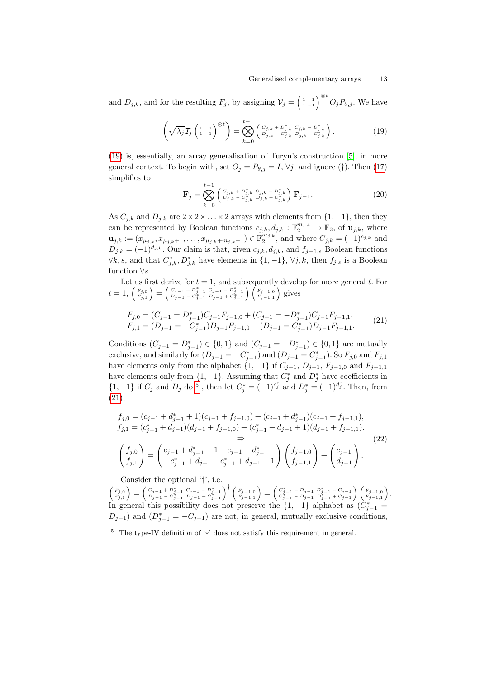and  $D_{j,k}$ , and for the resulting  $F_j$ , by assigning  $\mathcal{V}_j = \begin{pmatrix} 1 & 1 \\ 1 & -1 \end{pmatrix}^{\otimes t} O_j P_{\theta,j}$ . We have

<span id="page-12-0"></span>
$$
\left(\sqrt{\lambda_j}\mathcal{T}_j\left(\begin{smallmatrix} 1 & 1 \\ 1 & -1 \end{smallmatrix}\right)^{\otimes t}\right) = \bigotimes_{k=0}^{t-1} \left(\begin{smallmatrix} C_{j,k} + D_{j,k}^* & C_{j,k} - D_{j,k}^* \\ D_{j,k} - C_{j,k}^* & D_{j,k} + C_{j,k}^* \end{smallmatrix}\right).
$$
 (19)

[\(19\)](#page-12-0) is, essentially, an array generalisation of Turyn's construction [\[5\]](#page-18-4), in more general context. To begin with, set  $O_j = P_{\theta,j} = I$ ,  $\forall j$ , and ignore (†). Then [\(17\)](#page-10-0) simplifies to

<span id="page-12-3"></span>
$$
\mathbf{F}_{j} = \bigotimes_{k=0}^{t-1} \begin{pmatrix} c_{j,k} + b_{j,k}^{*} & c_{j,k} - b_{j,k}^{*} \\ b_{j,k} - c_{j,k}^{*} & b_{j,k} + c_{j,k}^{*} \end{pmatrix} \mathbf{F}_{j-1}.
$$
\n(20)

As  $C_{j,k}$  and  $D_{j,k}$  are  $2 \times 2 \times \ldots \times 2$  arrays with elements from  $\{1, -1\}$ , then they can be represented by Boolean functions  $c_{j,k}, d_{j,k} : \mathbb{F}_2^{m_{j,k}} \to \mathbb{F}_2$ , of  $\mathbf{u}_{j,k}$ , where  $\mathbf{u}_{j,k} := (x_{\mu_{j,k}}, x_{\mu_{j,k}+1}, \ldots, x_{\mu_{j,k}+m_{j,k}-1}) \in \mathbb{F}_2^{m_{j,k}}$ , and where  $C_{j,k} = (-1)^{c_{j,k}}$  and  $D_{j,k} = (-1)^{d_{j,k}}$ . Our claim is that, given  $c_{j,k}, d_{j,k}$ , and  $f_{j-1,s}$  Boolean functions  $\forall k, s$ , and that  $C^*_{j,k}, D^*_{j,k}$  have elements in  $\{1, -1\}$ ,  $\forall j, k$ , then  $f_{j,s}$  is a Boolean function  $\forall s$ .

Let us first derive for  $t = 1$ , and subsequently develop for more general  $t$ . For  $t = 1, \begin{pmatrix} F_{j,0} \ F_{j,1} \end{pmatrix} = \begin{pmatrix} C_{j-1} + D_{j-1}^* & C_{j-1} - D_{j-1}^* \ D_{j-1} - C_{j-1}^* & D_{j-1} + C_{j-1}^* \end{pmatrix} \begin{pmatrix} F_{j-1,0} \ F_{j-1,1} \end{pmatrix}$  gives

<span id="page-12-2"></span>
$$
F_{j,0} = (C_{j-1} = D_{j-1}^*)C_{j-1}F_{j-1,0} + (C_{j-1} = -D_{j-1}^*)C_{j-1}F_{j-1,1},
$$
  
\n
$$
F_{j,1} = (D_{j-1} = -C_{j-1}^*)D_{j-1}F_{j-1,0} + (D_{j-1} = C_{j-1}^*)D_{j-1}F_{j-1,1}.
$$
\n(21)

Conditions  $(C_{j-1} = D_{j-1}^*) \in \{0,1\}$  and  $(C_{j-1} = -D_{j-1}^*) \in \{0,1\}$  are mutually exclusive, and similarly for  $(D_{j-1} = -C_{j-1}^*)$  and  $(D_{j-1} = C_{j-1}^*)$ . So  $F_{j,0}$  and  $F_{j,1}$ have elements only from the alphabet  $\{1, -1\}$  if  $C_{j-1}$ ,  $D_{j-1}$ ,  $F_{j-1,0}$  and  $F_{j-1,1}$ have elements only from  $\{1, -1\}$ . Assuming that  $C_j^*$  and  $D_j^*$  have coefficients in {1, −1} if  $C_j$  and  $D_j$  do <sup>[5](#page-12-1)</sup>, then let  $C_j^* = (-1)^{c_j^*}$  and  $D_j^* = (-1)^{d_j^*}$ . Then, from [\(21\)](#page-12-2),

<span id="page-12-4"></span>
$$
f_{j,0} = (c_{j-1} + d_{j-1}^* + 1)(c_{j-1} + f_{j-1,0}) + (c_{j-1} + d_{j-1}^*)(c_{j-1} + f_{j-1,1}),
$$
  
\n
$$
f_{j,1} = (c_{j-1}^* + d_{j-1})(d_{j-1} + f_{j-1,0}) + (c_{j-1}^* + d_{j-1} + 1)(d_{j-1} + f_{j-1,1}).
$$
  
\n
$$
\Rightarrow
$$
  
\n
$$
\begin{pmatrix} f_{j,0} \\ f_{j,1} \end{pmatrix} = \begin{pmatrix} c_{j-1} + d_{j-1}^* + 1 & c_{j-1} + d_{j-1}^* \\ c_{j-1}^* + d_{j-1} & c_{j-1}^* + d_{j-1} + 1 \end{pmatrix} \begin{pmatrix} f_{j-1,0} \\ f_{j-1,1} \end{pmatrix} + \begin{pmatrix} c_{j-1} \\ d_{j-1} \end{pmatrix}.
$$
  
\n(22)

Consider the optional '†', i.e.

 $\left( \begin{smallmatrix} F_{j,0} \\ F_{j,1} \end{smallmatrix} \right) = \left( \begin{smallmatrix} C_{j-1} + D_{j-1}^* & C_{j-1} - D_{j-1}^* \\ D_{j-1} - C_{j-1}^* & D_{j-1} + C_{j-1}^* \end{smallmatrix} \right)^\dagger \left( \begin{smallmatrix} F_{j-1,0} \\ F_{j-1,1} \end{smallmatrix} \right) = \left( \begin{smallmatrix} C_{j-1}^* + D_{j-1} & D_{j-1}^* - C_{j-1} \\ C_{j-1}^* - D_{j-1} & D_{j-1}^* + C_{$ In general this possibility does not preserve the  $\{1, -1\}$  alphabet as  $(C_{j-1}^*)$  $D_{j-1}$ ) and  $(D_{j-1}^* = -C_{j-1})$  are not, in general, mutually exclusive conditions,

<span id="page-12-1"></span> $\frac{5}{5}$  The type-IV definition of '\*' does not satisfy this requirement in general.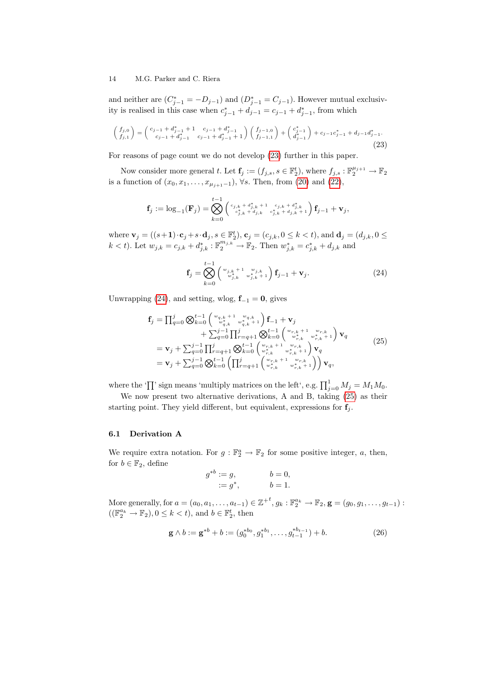and neither are  $(C_{j-1}^* = -D_{j-1})$  and  $(D_{j-1}^* = C_{j-1})$ . However mutual exclusivity is realised in this case when  $c_{j-1}^* + d_{j-1} = c_{j-1} + d_{j-1}^*$ , from which

<span id="page-13-0"></span>
$$
\begin{pmatrix} f_{j,0} \\ f_{j,1} \end{pmatrix} = \begin{pmatrix} c_{j-1} + d_{j-1}^* + 1 & c_{j-1} + d_{j-1}^* \\ c_{j-1} + d_{j-1}^* & c_{j-1} + d_{j-1}^* + 1 \end{pmatrix} \begin{pmatrix} f_{j-1,0} \\ f_{j-1,1} \end{pmatrix} + \begin{pmatrix} c_{j-1}^* \\ d_{j-1}^* \end{pmatrix} + c_{j-1}c_{j-1}^* + d_{j-1}d_{j-1}^*.
$$
\n(23)

For reasons of page count we do not develop [\(23\)](#page-13-0) further in this paper.

Now consider more general t. Let  $\mathbf{f}_j := (f_{j,s}, s \in \mathbb{F}_2^t)$ , where  $f_{j,s} : \mathbb{F}_2^{\mu_{j+1}} \to \mathbb{F}_2$ is a function of  $(x_0, x_1, \ldots, x_{\mu_{j+1}-1})$ ,  $\forall s$ . Then, from [\(20\)](#page-12-3) and [\(22\)](#page-12-4),

$$
\mathbf{f}_j := \log_{-1}(\mathbf{F}_j) = \bigotimes_{k=0}^{t-1} \left( \begin{smallmatrix} c_{j,k} + d_{j,k}^* + 1 & c_{j,k} + d_{j,k}^* \\ c_{j,k}^* + d_{j,k} & c_{j,k}^* + d_{j,k} + 1 \end{smallmatrix} \right) \mathbf{f}_{j-1} + \mathbf{v}_j,
$$

where  $\mathbf{v}_j = ((s+1)\cdot \mathbf{c}_j + s\cdot \mathbf{d}_j, s \in \mathbb{F}_2^t), \mathbf{c}_j = (c_{j,k}, 0 \le k < t)$ , and  $\mathbf{d}_j = (d_{j,k}, 0 \le k < t)$  $k < t$ ). Let  $w_{j,k} = c_{j,k} + d_{j,k}^* : \mathbb{F}_2^{m_{j,k}} \to \mathbb{F}_2$ . Then  $w_{j,k}^* = c_{j,k}^* + d_{j,k}$  and

<span id="page-13-1"></span>
$$
\mathbf{f}_{j} = \bigotimes_{k=0}^{t-1} \left( \begin{array}{c} w_{j,k} + 1 & w_{j,k} \\ w_{j,k}^* & w_{j,k}^* + 1 \end{array} \right) \mathbf{f}_{j-1} + \mathbf{v}_{j}.
$$
 (24)

Unwrapping [\(24\)](#page-13-1), and setting, wlog,  $f_{-1} = 0$ , gives

<span id="page-13-2"></span>
$$
\mathbf{f}_{j} = \prod_{q=0}^{j} \bigotimes_{k=0}^{t-1} {\begin{pmatrix} w_{q,k} + 1 & w_{q,k} \\ w_{q,k}^* & w_{q,k}^* + 1 \end{pmatrix} \mathbf{f}_{-1} + \mathbf{v}_{j} + \sum_{q=0}^{j-1} \prod_{q=0}^{j} \prod_{r=q+1}^{j} \bigotimes_{k=0}^{t-1} {\begin{pmatrix} w_{r,k} + 1 & w_{r,k} \\ w_{r,k}^* & w_{r,k}^* + 1 \end{pmatrix} \mathbf{v}_{q} + \mathbf{v}_{j} + \sum_{q=0}^{j-1} \prod_{r=q+1}^{j} \bigotimes_{k=0}^{t-1} {\begin{pmatrix} w_{r,k} + 1 & w_{r,k} \\ w_{r,k}^* & w_{r,k}^* + 1 \end{pmatrix} \mathbf{v}_{q} + \mathbf{v}_{j} + \sum_{q=0}^{j-1} \bigotimes_{k=0}^{t-1} {\begin{pmatrix} \prod_{r=q+1}^{j} {w_{r,k} + 1 & w_{r,k} \\ w_{r,k}^* & w_{r,k}^* + 1 \end{pmatrix} \mathbf{v}_{q}},
$$
\n(25)

where the ' $\prod$ ' sign means 'multiply matrices on the left', e.g.  $\prod_{j=0}^{1} M_j = M_1 M_0$ .

We now present two alternative derivations, A and B, taking [\(25\)](#page-13-2) as their starting point. They yield different, but equivalent, expressions for  $f_i$ .

#### 6.1 Derivation A

We require extra notation. For  $g : \mathbb{F}_2^a \to \mathbb{F}_2$  for some positive integer, a, then, for  $b \in \mathbb{F}_2$ , define

$$
g^{*b} := g,
$$
  

$$
:= g^*,
$$
  

$$
b = 0,
$$
  

$$
b = 1.
$$

More generally, for  $a = (a_0, a_1, \ldots, a_{t-1}) \in \mathbb{Z}^{+t}$ ,  $g_k : \mathbb{F}_2^{a_k} \to \mathbb{F}_2$ ,  $\mathbf{g} = (g_0, g_1, \ldots, g_{t-1})$ :  $((\mathbb{F}_2^{a_k} \to \mathbb{F}_2), 0 \leq k < t)$ , and  $b \in \mathbb{F}_2^t$ , then

<span id="page-13-3"></span>
$$
\mathbf{g} \wedge b := \mathbf{g}^{*b} + b := (g_0^{*b_0}, g_1^{*b_1}, \dots, g_{t-1}^{*b_{t-1}}) + b.
$$
 (26)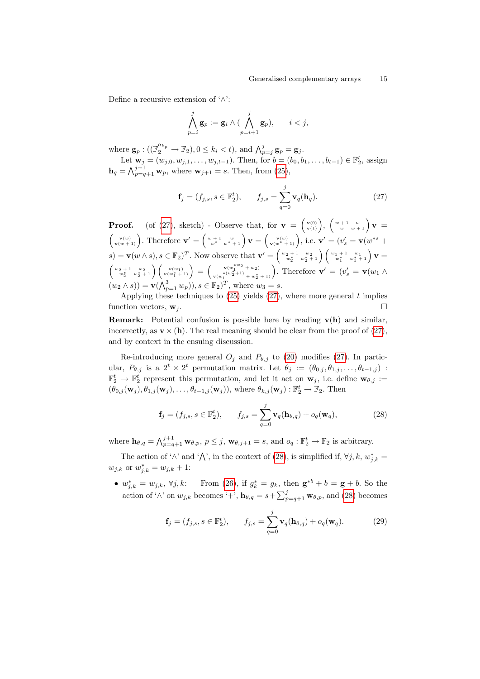Define a recursive extension of '∧':

$$
\bigwedge_{p=i}^j \mathbf{g}_p := \mathbf{g}_i \wedge (\bigwedge_{p=i+1}^j \mathbf{g}_p), \qquad i < j,
$$

where  $\mathbf{g}_p : ((\mathbb{F}_2^{a_{k_p}} \to \mathbb{F}_2), 0 \leq k_i < t),$  and  $\bigwedge_{p=j}^j \mathbf{g}_p = \mathbf{g}_j$ .

Let  $\mathbf{w}_j = (w_{j,0}, w_{j,1}, \dots, w_{j,t-1})$ . Then, for  $b = (b_0, b_1, \dots, b_{t-1}) \in \mathbb{F}_2^t$ , assign  $h_q = \bigwedge_{p=q+1}^{j+1} \mathbf{w}_p$ , where  $\mathbf{w}_{j+1} = s$ . Then, from [\(25\)](#page-13-2),

<span id="page-14-0"></span>
$$
\mathbf{f}_j = (f_{j,s}, s \in \mathbb{F}_2^t), \qquad f_{j,s} = \sum_{q=0}^j \mathbf{v}_q(\mathbf{h}_q). \tag{27}
$$

**Proof.** (of [\(27\)](#page-14-0), sketch) - Observe that, for  $\mathbf{v} = \begin{pmatrix} v^{(0)} \\ v^{(1)} \end{pmatrix}$ ,  $\begin{pmatrix} w+1 & w \\ w & w+1 \end{pmatrix} \mathbf{v} =$  $\begin{pmatrix} \mathbf{v}(w) \\ \mathbf{v}(w+1) \end{pmatrix}$ . Therefore  $\mathbf{v}' = \begin{pmatrix} w+1 & w \\ w^* & w^*+1 \end{pmatrix} \mathbf{v} = \begin{pmatrix} \mathbf{v}(w) \\ \mathbf{v}(w^*+1) \end{pmatrix}$ , i.e.  $\mathbf{v}' = (v'_s = \mathbf{v}(w^{*s} + v'_s))$  $s) = \mathbf{v}(w \wedge s), s \in \mathbb{F}_2$ <sup>T</sup>. Now observe that  $\mathbf{v}' = \begin{pmatrix} w_2 + 1 & w_2 \\ w_2^* & w_2^* + 1 \end{pmatrix} \begin{pmatrix} w_1 + 1 & w_1 \\ w_1^* & w_1^* + 1 \end{pmatrix} \mathbf{v} =$  $\begin{pmatrix} w_2+1 & w_2 \\ w_2^* & w_2^*+1 \end{pmatrix}\begin{pmatrix} \mathbf{v}(w_1) \\ \mathbf{v}(w_1^*+1) \end{pmatrix} = \begin{pmatrix} \mathbf{v}(w_1^*^{w_2}+w_2) \\ \mathbf{v}(w_1^*(w_2^*+1) + w_2^*) \end{pmatrix}$  $\mathbf{v}_{(\mathbf{w}_1^{*(\mathbf{w}_2^2+1)}+\mathbf{w}_2^*)}^{\mathbf{v}(\mathbf{w}_1^{*(\mathbf{w}_2^2+\mathbf{1})}+\mathbf{w}_2^*)}$ . Therefore  $\mathbf{v}'=(v'_s=\mathbf{v}(w_1\wedge$  $(w_2 \wedge s)$  =  $\mathbf{v}(\bigwedge_{p=1}^3 w_p)$ ,  $s \in \mathbb{F}_2$   $)^T$ , where  $w_3 = s$ .

Applying these techniques to  $(25)$  yields  $(27)$ , where more general t implies function vectors,  $\mathbf{w}_j$ .

**Remark:** Potential confusion is possible here by reading  $v(h)$  and similar, incorrectly, as  $\mathbf{v} \times (\mathbf{h})$ . The real meaning should be clear from the proof of [\(27\)](#page-14-0), and by context in the ensuing discussion.

Re-introducing more general  $O_j$  and  $P_{\theta,j}$  to [\(20\)](#page-12-3) modifies [\(27\)](#page-14-0). In particular,  $P_{\theta,j}$  is a  $2^t \times 2^t$  permutation matrix. Let  $\theta_j := (\theta_{0,j}, \theta_{1,j}, \ldots, \theta_{t-1,j})$ :  $\mathbb{F}_2^t \to \mathbb{F}_2^t$  represent this permutation, and let it act on  $\mathbf{w}_j$ , i.e. define  $\mathbf{w}_{\theta,j}$  :=  $(\theta_{0,j}(\mathbf{w}_j), \theta_{1,j}(\mathbf{w}_j), \ldots, \theta_{t-1,j}(\mathbf{w}_j)),$  where  $\theta_{k,j}(\mathbf{w}_j) : \mathbb{F}_2^t \to \mathbb{F}_2$ . Then

<span id="page-14-1"></span>
$$
\mathbf{f}_j = (f_{j,s}, s \in \mathbb{F}_2^t), \qquad f_{j,s} = \sum_{q=0}^j \mathbf{v}_q(\mathbf{h}_{\theta,q}) + o_q(\mathbf{w}_q), \tag{28}
$$

where  $\mathbf{h}_{\theta,q} = \bigwedge_{p=q+1}^{j+1} \mathbf{w}_{\theta,p}, p \leq j, \mathbf{w}_{\theta,j+1} = s$ , and  $o_q : \mathbb{F}_2^t \to \mathbb{F}_2$  is arbitrary.

The action of ' $\wedge$ ' and ' $\bigwedge$ ', in the context of [\(28\)](#page-14-1), is simplified if,  $\forall j, k, w^*_{j,k} =$  $w_{j,k}$  or  $w_{j,k}^* = w_{j,k} + 1$ :

•  $w_{j,k}^* = w_{j,k}, \forall j, k:$  From [\(26\)](#page-13-3), if  $g_k^* = g_k$ , then  $\mathbf{g}^{*b} + b = \mathbf{g} + b$ . So the action of '∧' on  $w_{j,k}$  becomes '+',  $\mathbf{h}_{\theta,q} = s + \sum_{p=q+1}^{j} \mathbf{w}_{\theta,p}$ , and [\(28\)](#page-14-1) becomes

<span id="page-14-2"></span>
$$
\mathbf{f}_{j} = (f_{j,s}, s \in \mathbb{F}_{2}^{t}), \qquad f_{j,s} = \sum_{q=0}^{j} \mathbf{v}_{q}(\mathbf{h}_{\theta,q}) + o_{q}(\mathbf{w}_{q}). \tag{29}
$$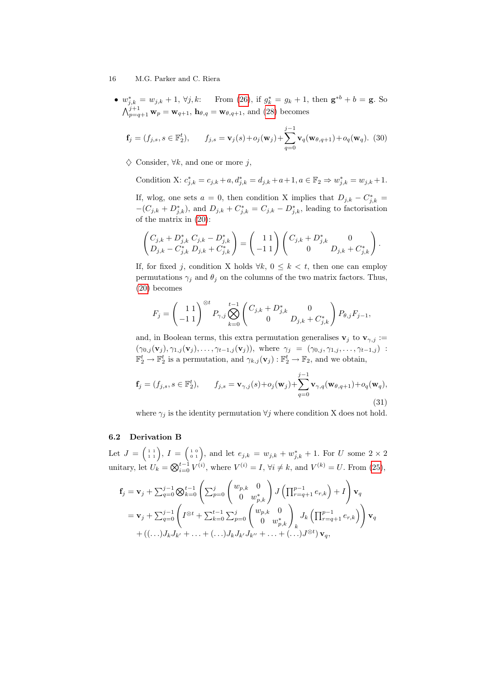•  $w_{j,k}^* = w_{j,k} + 1$ ,  $\forall j,k$ : From [\(26\)](#page-13-3), if  $g_k^* = g_k + 1$ , then  $\mathbf{g}^{*b} + b = \mathbf{g}$ . So  $\bigwedge_{p=q+1}^{j+1} \mathbf{w}_p = \mathbf{w}_{q+1}, \mathbf{h}_{\theta,q} = \mathbf{w}_{\theta,q+1},$  and [\(28\)](#page-14-1) becomes

<span id="page-15-0"></span>
$$
\mathbf{f}_{j} = (f_{j,s}, s \in \mathbb{F}_{2}^{t}), \qquad f_{j,s} = \mathbf{v}_{j}(s) + o_{j}(\mathbf{w}_{j}) + \sum_{q=0}^{j-1} \mathbf{v}_{q}(\mathbf{w}_{\theta,q+1}) + o_{q}(\mathbf{w}_{q}). \tag{30}
$$

 $\diamondsuit$  Consider,  $\forall k$ , and one or more j,

Condition X: 
$$
c_{j,k}^* = c_{j,k} + a, d_{j,k}^* = d_{j,k} + a + 1, a \in \mathbb{F}_2 \Rightarrow w_{j,k}^* = w_{j,k} + 1.
$$

If, wlog, one sets  $a = 0$ , then condition X implies that  $D_{j,k} - C^*_{j,k} =$  $-(C_{j,k} + D_{j,k}^*)$ , and  $D_{j,k} + C_{j,k}^* = C_{j,k} - D_{j,k}^*$ , leading to factorisation of the matrix in [\(20\)](#page-12-3):

$$
\begin{pmatrix} C_{j,k} + D_{j,k}^* C_{j,k} - D_{j,k}^* \\ D_{j,k} - C_{j,k}^* D_{j,k} + C_{j,k}^* \end{pmatrix} = \begin{pmatrix} 1 & 1 \\ -1 & 1 \end{pmatrix} \begin{pmatrix} C_{j,k} + D_{j,k}^* & 0 \\ 0 & D_{j,k} + C_{j,k}^* \end{pmatrix}.
$$

If, for fixed j, condition X holds  $\forall k, 0 \leq k < t$ , then one can employ permutations  $\gamma_i$  and  $\theta_j$  on the columns of the two matrix factors. Thus, [\(20\)](#page-12-3) becomes

$$
F_j = \left(\begin{array}{c} 1 \ 1 \\ -1 \ 1 \end{array}\right)^{\otimes t} P_{\gamma,j} \bigotimes_{k=0}^{t-1} \left(\begin{array}{c} C_{j,k} + D^*_{j,k} & 0 \\ 0 & D_{j,k} + C^*_{j,k} \end{array}\right) P_{\theta,j} F_{j-1},
$$

and, in Boolean terms, this extra permutation generalises  $\mathbf{v}_j$  to  $\mathbf{v}_{\gamma,j}$  :=  $(\gamma_{0,j}(\mathbf{v}_j), \gamma_{1,j}(\mathbf{v}_j), \ldots, \gamma_{t-1,j}(\mathbf{v}_j)),$  where  $\gamma_j = (\gamma_{0,j}, \gamma_{1,j}, \ldots, \gamma_{t-1,j})$ :  $\mathbb{F}_2^t \to \mathbb{F}_2^t$  is a permutation, and  $\gamma_{k,j}(\mathbf{v}_j) : \mathbb{F}_2^t \to \mathbb{F}_2$ , and we obtain,

<span id="page-15-1"></span>
$$
\mathbf{f}_{j} = (f_{j,s}, s \in \mathbb{F}_{2}^{t}), \qquad f_{j,s} = \mathbf{v}_{\gamma,j}(s) + o_{j}(\mathbf{w}_{j}) + \sum_{q=0}^{j-1} \mathbf{v}_{\gamma,q}(\mathbf{w}_{\theta,q+1}) + o_{q}(\mathbf{w}_{q}),
$$
\n(31)

where  $\gamma_i$  is the identity permutation  $\forall j$  where condition X does not hold.

#### 6.2 Derivation B

Let  $J = \begin{pmatrix} 1 & 1 \\ 1 & 1 \end{pmatrix}$ ,  $I = \begin{pmatrix} 1 & 0 \\ 0 & 1 \end{pmatrix}$ , and let  $e_{j,k} = w_{j,k} + w_{j,k}^* + 1$ . For U some  $2 \times 2$ unitary, let  $U_k = \bigotimes_{i=0}^{t-1} V^{(i)}$ , where  $V^{(i)} = I$ ,  $\forall i \neq k$ , and  $V^{(k)} = U$ . From [\(25\)](#page-13-2),

$$
\mathbf{f}_{j} = \mathbf{v}_{j} + \sum_{q=0}^{j-1} \bigotimes_{k=0}^{t-1} \left( \sum_{p=0}^{j} \begin{pmatrix} w_{p,k} & 0 \\ 0 & w_{p,k}^{*} \end{pmatrix} J \left( \prod_{r=q+1}^{p-1} e_{r,k} \right) + I \right) \mathbf{v}_{q}
$$
  
\n
$$
= \mathbf{v}_{j} + \sum_{q=0}^{j-1} \left( I^{\otimes t} + \sum_{k=0}^{t-1} \sum_{p=0}^{j} \begin{pmatrix} w_{p,k} & 0 \\ 0 & w_{p,k}^{*} \end{pmatrix} J_{k} \left( \prod_{r=q+1}^{p-1} e_{r,k} \right) \right) \mathbf{v}_{q}
$$
  
\n
$$
+ \left( (\dots) J_{k} J_{k'} + \dots + (\dots) J_{k} J_{k'} J_{k''} + \dots + (\dots) J^{\otimes t} \right) \mathbf{v}_{q},
$$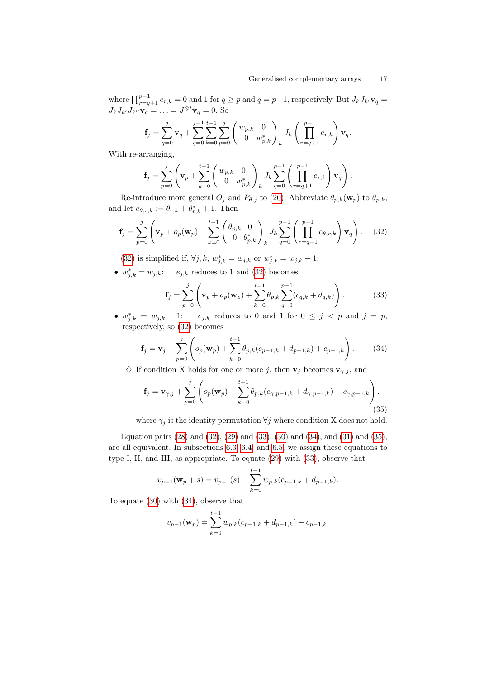where  $\prod_{r=q+1}^{p-1} e_{r,k} = 0$  and 1 for  $q \geq p$  and  $q = p-1$ , respectively. But  $J_k J_{k'} \mathbf{v}_q =$  $J_kJ_{k'}J_{k''}\mathbf{v}_q = \ldots = J^{\otimes t}\mathbf{v}_q = 0.$  So

$$
\mathbf{f}_j = \sum_{q=0}^j \mathbf{v}_q + \sum_{q=0}^{j-1} \sum_{k=0}^{t-1} \sum_{p=0}^j \begin{pmatrix} w_{p,k} & 0 \\ 0 & w_{p,k}^* \end{pmatrix}_k J_k \left( \prod_{r=q+1}^{p-1} e_{r,k} \right) \mathbf{v}_q.
$$

With re-arranging,

$$
\mathbf{f}_{j} = \sum_{p=0}^{j} \left( \mathbf{v}_{p} + \sum_{k=0}^{t-1} \begin{pmatrix} w_{p,k} & 0 \\ 0 & w_{p,k}^{*} \end{pmatrix}_{k} J_{k} \sum_{q=0}^{p-1} \left( \prod_{r=q+1}^{p-1} e_{r,k} \right) \mathbf{v}_{q} \right).
$$

Re-introduce more general  $O_j$  and  $P_{\theta,j}$  to [\(20\)](#page-12-3). Abbreviate  $\theta_{p,k}(\mathbf{w}_p)$  to  $\theta_{p,k}$ , and let  $e_{\theta,r,k} := \theta_{r,k} + \theta_{r,k}^* + 1$ . Then

<span id="page-16-0"></span>
$$
\mathbf{f}_{j} = \sum_{p=0}^{j} \left( \mathbf{v}_{p} + o_{p}(\mathbf{w}_{p}) + \sum_{k=0}^{t-1} \left( \begin{array}{c} \theta_{p,k} & 0\\ 0 & \theta_{p,k}^{*} \end{array} \right)_{k} J_{k} \sum_{q=0}^{p-1} \left( \prod_{r=q+1}^{p-1} e_{\theta,r,k} \right) \mathbf{v}_{q} \right). \quad (32)
$$

[\(32\)](#page-16-0) is simplified if,  $\forall j, k, w^*_{j,k} = w_{j,k}$  or  $w^*_{j,k} = w_{j,k} + 1$ :

•  $w_{j,k}^* = w_{j,k}:$   $e_{j,k}$  reduces to 1 and [\(32\)](#page-16-0) becomes

<span id="page-16-1"></span>
$$
\mathbf{f}_{j} = \sum_{p=0}^{j} \left( \mathbf{v}_{p} + o_{p}(\mathbf{w}_{p}) + \sum_{k=0}^{t-1} \theta_{p,k} \sum_{q=0}^{p-1} (c_{q,k} + d_{q,k}) \right).
$$
 (33)

•  $w_{j,k}^* = w_{j,k} + 1$ :  $e_{j,k}$  reduces to 0 and 1 for  $0 \leq j \leq p$  and  $j = p$ , respectively, so [\(32\)](#page-16-0) becomes

<span id="page-16-2"></span>
$$
\mathbf{f}_{j} = \mathbf{v}_{j} + \sum_{p=0}^{j} \left( o_{p}(\mathbf{w}_{p}) + \sum_{k=0}^{t-1} \theta_{p,k} (c_{p-1,k} + d_{p-1,k}) + c_{p-1,k} \right). \tag{34}
$$

 $\diamondsuit$  If condition X holds for one or more j, then  $\mathbf{v}_j$  becomes  $\mathbf{v}_{\gamma,j}$ , and

<span id="page-16-3"></span>
$$
\mathbf{f}_{j} = \mathbf{v}_{\gamma,j} + \sum_{p=0}^{j} \left( o_p(\mathbf{w}_p) + \sum_{k=0}^{t-1} \theta_{p,k} (c_{\gamma,p-1,k} + d_{\gamma,p-1,k}) + c_{\gamma,p-1,k} \right).
$$
\n(35)

where  $\gamma_j$  is the identity permutation  $\forall j$  where condition X does not hold.

Equation pairs [\(28\)](#page-14-1) and [\(32\)](#page-16-0), [\(29\)](#page-14-2) and [\(33\)](#page-16-1), [\(30\)](#page-15-0) and [\(34\)](#page-16-2), and [\(31\)](#page-15-1) and [\(35\)](#page-16-3), are all equivalent. In subsections [6.3,](#page-17-0) [6.4,](#page-17-1) and [6.5,](#page-17-2) we assign these equations to type-I, II, and III, as appropriate. To equate [\(29\)](#page-14-2) with [\(33\)](#page-16-1), observe that

$$
v_{p-1}(\mathbf{w}_p + s) = v_{p-1}(s) + \sum_{k=0}^{t-1} w_{p,k}(c_{p-1,k} + d_{p-1,k}).
$$

To equate [\(30\)](#page-15-0) with [\(34\)](#page-16-2), observe that

$$
v_{p-1}(\mathbf{w}_p) = \sum_{k=0}^{t-1} w_{p,k}(c_{p-1,k} + d_{p-1,k}) + c_{p-1,k}.
$$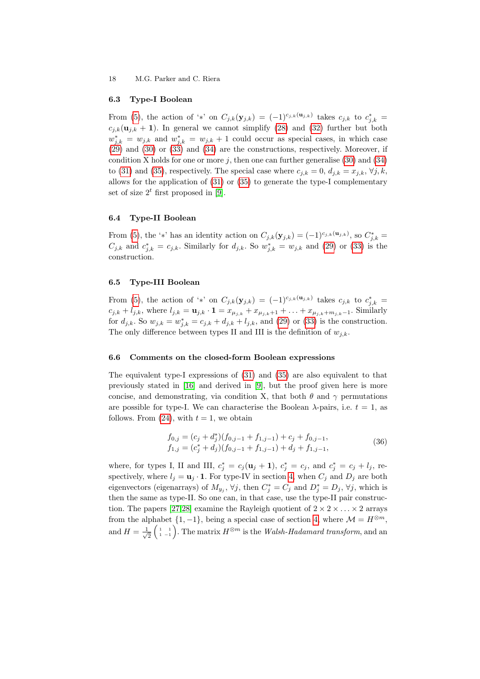#### <span id="page-17-0"></span>6.3 Type-I Boolean

From [\(5\)](#page-4-0), the action of '\*' on  $C_{j,k}(\mathbf{y}_{j,k}) = (-1)^{c_{j,k}(\mathbf{u}_{j,k})}$  takes  $c_{j,k}$  to  $c_{j,k}^* =$  $c_{j,k}(\mathbf{u}_{j,k} + 1)$ . In general we cannot simplify [\(28\)](#page-14-1) and [\(32\)](#page-16-0) further but both  $w_{j,k}^* = w_{j,k}$  and  $w_{j,k}^* = w_{j,k} + 1$  could occur as special cases, in which case [\(29\)](#page-14-2) and [\(30\)](#page-15-0) or [\(33\)](#page-16-1) and [\(34\)](#page-16-2) are the constructions, respectively. Moreover, if condition X holds for one or more  $j$ , then one can further generalise [\(30\)](#page-15-0) and [\(34\)](#page-16-2) to [\(31\)](#page-15-1) and [\(35\)](#page-16-3), respectively. The special case where  $c_{j,k} = 0, d_{j,k} = x_{j,k}, \forall j, k$ , allows for the application of [\(31\)](#page-15-1) or [\(35\)](#page-16-3) to generate the type-I complementary set of size  $2^t$  first proposed in [\[9\]](#page-18-8).

#### <span id="page-17-1"></span>6.4 Type-II Boolean

From [\(5\)](#page-4-0), the '\*' has an identity action on  $C_{j,k}(\mathbf{y}_{j,k}) = (-1)^{c_{j,k}(\mathbf{u}_{j,k})}$ , so  $C^*_{j,k} =$  $C_{j,k}$  and  $c_{j,k}^* = c_{j,k}$ . Similarly for  $d_{j,k}$ . So  $w_{j,k}^* = w_{j,k}$  and [\(29\)](#page-14-2) or [\(33\)](#page-16-1) is the construction.

#### <span id="page-17-2"></span>6.5 Type-III Boolean

From [\(5\)](#page-4-0), the action of '\*' on  $C_{j,k}(\mathbf{y}_{j,k}) = (-1)^{c_{j,k}(\mathbf{u}_{j,k})}$  takes  $c_{j,k}$  to  $c_{j,k}^* =$  $c_{j,k} + l_{j,k}$ , where  $l_{j,k} = \mathbf{u}_{j,k} \cdot \mathbf{1} = x_{\mu_{j,k}} + x_{\mu_{j,k}+1} + \ldots + x_{\mu_{j,k}+m_{j,k}-1}$ . Similarly for  $d_{j,k}$ . So  $w_{j,k} = w_{j,k}^* = c_{j,k} + d_{j,k} + l_{j,k}$ , and [\(29\)](#page-14-2) or [\(33\)](#page-16-1) is the construction. The only difference between types II and III is the definition of  $w_{i,k}$ .

#### 6.6 Comments on the closed-form Boolean expressions

The equivalent type-I expressions of [\(31\)](#page-15-1) and [\(35\)](#page-16-3) are also equivalent to that previously stated in [\[16\]](#page-19-1) and derived in [\[9\]](#page-18-8), but the proof given here is more concise, and demonstrating, via condition X, that both  $\theta$  and  $\gamma$  permutations are possible for type-I. We can characterise the Boolean  $\lambda$ -pairs, i.e.  $t = 1$ , as follows. From  $(24)$ , with  $t = 1$ , we obtain

<span id="page-17-3"></span>
$$
f_{0,j} = (c_j + d_j)(f_{0,j-1} + f_{1,j-1}) + c_j + f_{0,j-1},
$$
  
\n
$$
f_{1,j} = (c_j^* + d_j)(f_{0,j-1} + f_{1,j-1}) + d_j + f_{1,j-1},
$$
\n(36)

where, for types I, II and III,  $c_j^* = c_j(\mathbf{u}_j + 1)$ ,  $c_j^* = c_j$ , and  $c_j^* = c_j + l_j$ , respectively, where  $l_j = \mathbf{u}_j \cdot \mathbf{1}$ . For type-IV in section [4,](#page-9-0) when  $C_j$  and  $D_j$  are both eigenvectors (eigenarrays) of  $M_{y_j}$ ,  $\forall j$ , then  $C_j^* = C_j$  and  $D_j^* = D_j$ ,  $\forall j$ , which is then the same as type-II. So one can, in that case, use the type-II pair construc-tion. The papers [\[27,](#page-19-12)[28\]](#page-19-13) examine the Rayleigh quotient of  $2 \times 2 \times \ldots \times 2$  arrays from the alphabet  $\{1, -1\}$ , being a special case of section [4,](#page-9-0) where  $\mathcal{M} = H^{\otimes m}$ , and  $H = \frac{1}{\sqrt{2}}$  $\frac{1}{2}\begin{pmatrix} 1 & 1 \ 1 & -1 \end{pmatrix}$ . The matrix  $H^{\otimes m}$  is the *Walsh-Hadamard transform*, and an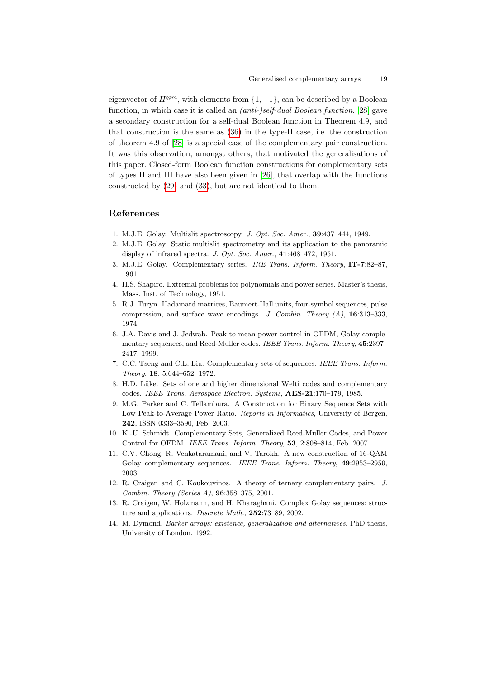eigenvector of  $H^{\otimes m}$ , with elements from  $\{1, -1\}$ , can be described by a Boolean function, in which case it is called an (anti-)self-dual Boolean function. [\[28\]](#page-19-13) gave a secondary construction for a self-dual Boolean function in Theorem 4.9, and that construction is the same as [\(36\)](#page-17-3) in the type-II case, i.e. the construction of theorem 4.9 of [\[28\]](#page-19-13) is a special case of the complementary pair construction. It was this observation, amongst others, that motivated the generalisations of this paper. Closed-form Boolean function constructions for complementary sets of types II and III have also been given in [\[26\]](#page-19-11), that overlap with the functions constructed by [\(29\)](#page-14-2) and [\(33\)](#page-16-1), but are not identical to them.

# References

- <span id="page-18-0"></span>1. M.J.E. Golay. Multislit spectroscopy. J. Opt. Soc. Amer., 39:437–444, 1949.
- <span id="page-18-1"></span>2. M.J.E. Golay. Static multislit spectrometry and its application to the panoramic display of infrared spectra. J. Opt. Soc. Amer., 41:468-472, 1951.
- <span id="page-18-3"></span>3. M.J.E. Golay. Complementary series. IRE Trans. Inform. Theory, IT-7:82–87, 1961.
- <span id="page-18-2"></span>4. H.S. Shapiro. Extremal problems for polynomials and power series. Master's thesis, Mass. Inst. of Technology, 1951.
- <span id="page-18-4"></span>5. R.J. Turyn. Hadamard matrices, Baumert-Hall units, four-symbol sequences, pulse compression, and surface wave encodings. J. Combin. Theory  $(A)$ , 16:313–333, 1974.
- <span id="page-18-5"></span>6. J.A. Davis and J. Jedwab. Peak-to-mean power control in OFDM, Golay complementary sequences, and Reed-Muller codes. IEEE Trans. Inform. Theory, 45:2397-2417, 1999.
- <span id="page-18-6"></span>7. C.C. Tseng and C.L. Liu. Complementary sets of sequences. IEEE Trans. Inform. Theory, 18, 5:644–652, 1972.
- <span id="page-18-7"></span>8. H.D. Lüke. Sets of one and higher dimensional Welti codes and complementary codes. IEEE Trans. Aerospace Electron. Systems, AES-21:170–179, 1985.
- <span id="page-18-8"></span>9. M.G. Parker and C. Tellambura. A Construction for Binary Sequence Sets with Low Peak-to-Average Power Ratio. Reports in Informatics, University of Bergen, 242, ISSN 0333–3590, Feb. 2003.
- <span id="page-18-9"></span>10. K.-U. Schmidt. Complementary Sets, Generalized Reed-Muller Codes, and Power Control for OFDM. IEEE Trans. Inform. Theory, 53, 2:808–814, Feb. 2007
- <span id="page-18-10"></span>11. C.V. Chong, R. Venkataramani, and V. Tarokh. A new construction of 16-QAM Golay complementary sequences. IEEE Trans. Inform. Theory, 49:2953–2959, 2003.
- <span id="page-18-11"></span>12. R. Craigen and C. Koukouvinos. A theory of ternary complementary pairs. J. Combin. Theory (Series A), 96:358–375, 2001.
- <span id="page-18-12"></span>13. R. Craigen, W. Holzmann, and H. Kharaghani. Complex Golay sequences: structure and applications. Discrete Math., 252:73-89, 2002.
- <span id="page-18-13"></span>14. M. Dymond. Barker arrays: existence, generalization and alternatives. PhD thesis, University of London, 1992.